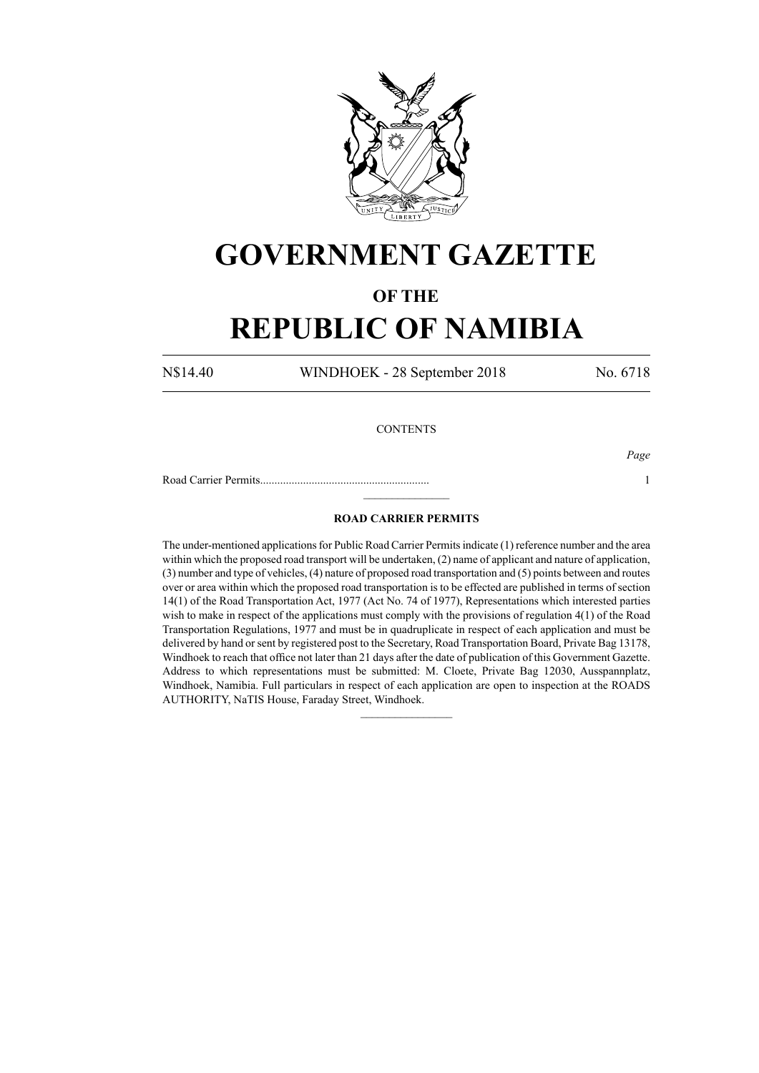

## **GOVERNMENT GAZETTE**

### **OF THE**

# **REPUBLIC OF NAMIBIA**

N\$14.40 WINDHOEK - 28 September 2018 No. 6718

### **CONTENTS**

*Page*

Road Carrier Permits........................................................... 1  $\frac{1}{2}$ 

#### **ROAD CARRIER PERMITS**

The under-mentioned applications for Public Road Carrier Permits indicate (1) reference number and the area within which the proposed road transport will be undertaken, (2) name of applicant and nature of application, (3) number and type of vehicles, (4) nature of proposed road transportation and (5) points between and routes over or area within which the proposed road transportation is to be effected are published in terms of section 14(1) of the Road Transportation Act, 1977 (Act No. 74 of 1977), Representations which interested parties wish to make in respect of the applications must comply with the provisions of regulation 4(1) of the Road Transportation Regulations, 1977 and must be in quadruplicate in respect of each application and must be delivered by hand or sent by registered post to the Secretary, Road Transportation Board, Private Bag 13178, Windhoek to reach that office not later than 21 days after the date of publication of this Government Gazette. Address to which representations must be submitted: M. Cloete, Private Bag 12030, Ausspannplatz, Windhoek, Namibia. Full particulars in respect of each application are open to inspection at the ROADS AUTHORITY, NaTIS House, Faraday Street, Windhoek.

 $\frac{1}{2}$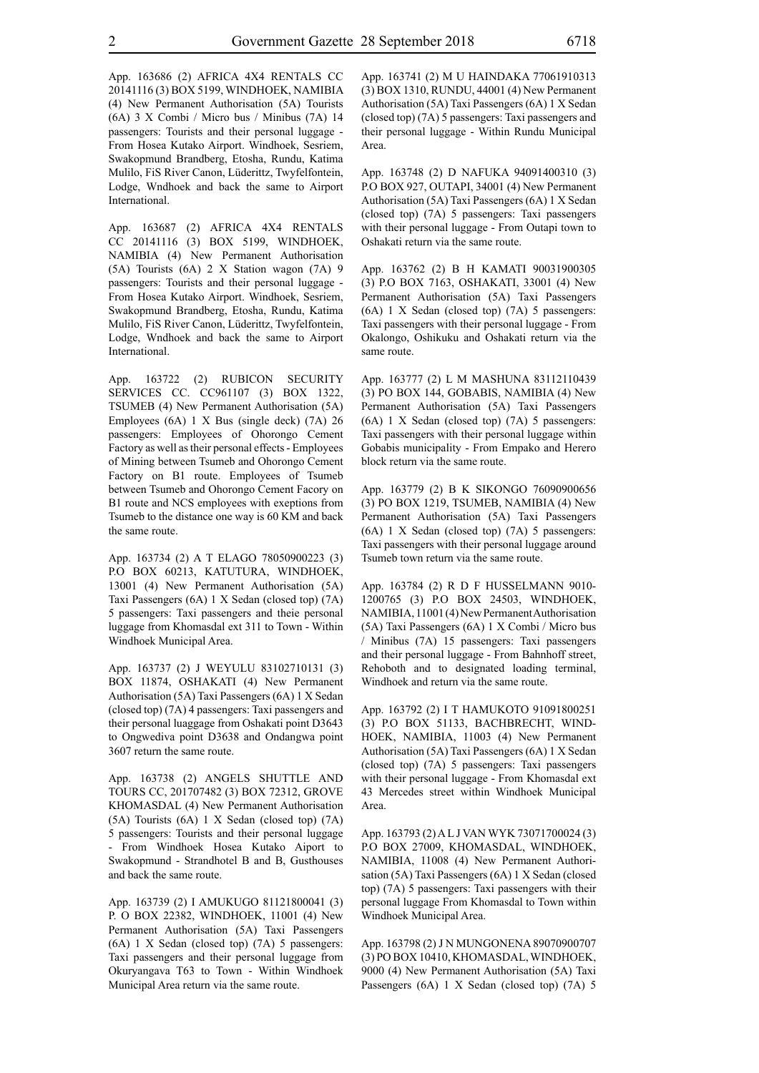App. 163686 (2) AFRICA 4X4 RENTALS CC 20141116 (3) BOX 5199, WINDHOEK, NAMIBIA (4) New Permanent Authorisation (5A) Tourists (6A) 3 X Combi / Micro bus / Minibus (7A) 14 passengers: Tourists and their personal luggage - From Hosea Kutako Airport. Windhoek, Sesriem, Swakopmund Brandberg, Etosha, Rundu, Katima Mulilo, FiS River Canon, Lüderittz, Twyfelfontein, Lodge, Wndhoek and back the same to Airport International.

App. 163687 (2) AFRICA 4X4 RENTALS CC 20141116 (3) BOX 5199, WINDHOEK, NAMIBIA (4) New Permanent Authorisation (5A) Tourists (6A) 2 X Station wagon (7A) 9 passengers: Tourists and their personal luggage - From Hosea Kutako Airport. Windhoek, Sesriem, Swakopmund Brandberg, Etosha, Rundu, Katima Mulilo, FiS River Canon, Lüderittz, Twyfelfontein, Lodge, Wndhoek and back the same to Airport International.

App. 163722 (2) RUBICON SECURITY SERVICES CC. CC961107 (3) BOX 1322, TSUMEB (4) New Permanent Authorisation (5A) Employees (6A) 1 X Bus (single deck) (7A) 26 passengers: Employees of Ohorongo Cement Factory as well as their personal effects - Employees of Mining between Tsumeb and Ohorongo Cement Factory on B1 route. Employees of Tsumeb between Tsumeb and Ohorongo Cement Facory on B1 route and NCS employees with exeptions from Tsumeb to the distance one way is 60 KM and back the same route.

App. 163734 (2) A T ELAGO 78050900223 (3) P.O BOX 60213, KATUTURA, WINDHOEK, 13001 (4) New Permanent Authorisation (5A) Taxi Passengers (6A) 1 X Sedan (closed top) (7A) 5 passengers: Taxi passengers and theie personal luggage from Khomasdal ext 311 to Town - Within Windhoek Municipal Area.

App. 163737 (2) J WEYULU 83102710131 (3) BOX 11874, OSHAKATI (4) New Permanent Authorisation (5A) Taxi Passengers (6A) 1 X Sedan (closed top) (7A) 4 passengers: Taxi passengers and their personal luaggage from Oshakati point D3643 to Ongwediva point D3638 and Ondangwa point 3607 return the same route.

App. 163738 (2) ANGELS SHUTTLE AND TOURS CC, 201707482 (3) BOX 72312, GROVE KHOMASDAL (4) New Permanent Authorisation (5A) Tourists (6A) 1 X Sedan (closed top) (7A) 5 passengers: Tourists and their personal luggage - From Windhoek Hosea Kutako Aiport to Swakopmund - Strandhotel B and B, Gusthouses and back the same route.

App. 163739 (2) I AMUKUGO 81121800041 (3) P. O BOX 22382, WINDHOEK, 11001 (4) New Permanent Authorisation (5A) Taxi Passengers (6A) 1 X Sedan (closed top) (7A) 5 passengers: Taxi passengers and their personal luggage from Okuryangava T63 to Town - Within Windhoek Municipal Area return via the same route.

App. 163741 (2) M U HAINDAKA 77061910313 (3) BOX 1310, RUNDU, 44001 (4) New Permanent Authorisation (5A) Taxi Passengers (6A) 1 X Sedan (closed top) (7A) 5 passengers: Taxi passengers and their personal luggage - Within Rundu Municipal Area.

App. 163748 (2) D NAFUKA 94091400310 (3) P.O BOX 927, OUTAPI, 34001 (4) New Permanent Authorisation (5A) Taxi Passengers (6A) 1 X Sedan (closed top) (7A) 5 passengers: Taxi passengers with their personal luggage - From Outapi town to Oshakati return via the same route.

App. 163762 (2) B H KAMATI 90031900305 (3) P.O BOX 7163, OSHAKATI, 33001 (4) New Permanent Authorisation (5A) Taxi Passengers (6A) 1 X Sedan (closed top) (7A) 5 passengers: Taxi passengers with their personal luggage - From Okalongo, Oshikuku and Oshakati return via the same route.

App. 163777 (2) L M MASHUNA 83112110439 (3) PO BOX 144, GOBABIS, NAMIBIA (4) New Permanent Authorisation (5A) Taxi Passengers (6A) 1 X Sedan (closed top) (7A) 5 passengers: Taxi passengers with their personal luggage within Gobabis municipality - From Empako and Herero block return via the same route.

App. 163779 (2) B K SIKONGO 76090900656 (3) PO BOX 1219, TSUMEB, NAMIBIA (4) New Permanent Authorisation (5A) Taxi Passengers (6A) 1 X Sedan (closed top) (7A) 5 passengers: Taxi passengers with their personal luggage around Tsumeb town return via the same route.

App. 163784 (2) R D F HUSSELMANN 9010- 1200765 (3) P.O BOX 24503, WINDHOEK, NAMIBIA, 11001 (4) New Permanent Authorisation (5A) Taxi Passengers (6A) 1 X Combi / Micro bus / Minibus (7A) 15 passengers: Taxi passengers and their personal luggage - From Bahnhoff street, Rehoboth and to designated loading terminal, Windhoek and return via the same route.

App. 163792 (2) I T HAMUKOTO 91091800251 (3) P.O BOX 51133, BACHBRECHT, WIND-HOEK, NAMIBIA, 11003 (4) New Permanent Authorisation (5A) Taxi Passengers (6A) 1 X Sedan (closed top) (7A) 5 passengers: Taxi passengers with their personal luggage - From Khomasdal ext 43 Mercedes street within Windhoek Municipal Area.

App. 163793 (2) A L J VAN WYK 73071700024 (3) P.O BOX 27009, KHOMASDAL, WINDHOEK, NAMIBIA, 11008 (4) New Permanent Authorisation (5A) Taxi Passengers (6A) 1 X Sedan (closed top) (7A) 5 passengers: Taxi passengers with their personal luggage From Khomasdal to Town within Windhoek Municipal Area.

App. 163798 (2) J N MUNGONENA 89070900707 (3) PO BOX 10410, KHOMASDAL, WINDHOEK, 9000 (4) New Permanent Authorisation (5A) Taxi Passengers (6A) 1 X Sedan (closed top) (7A) 5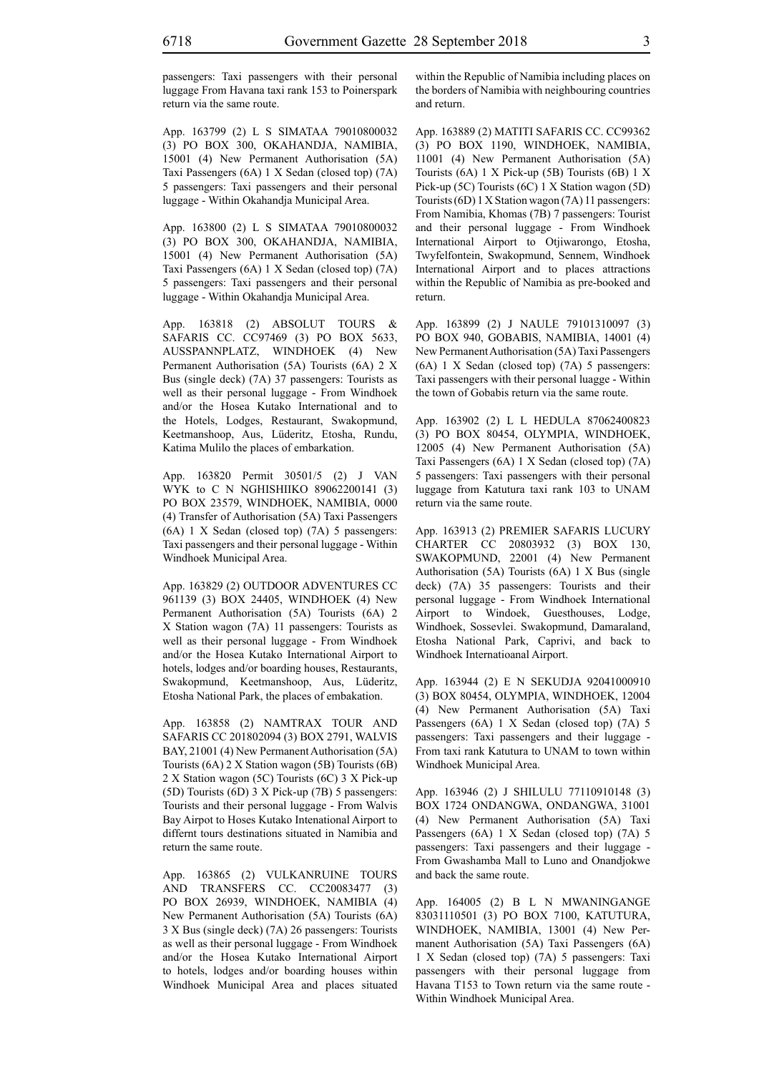passengers: Taxi passengers with their personal luggage From Havana taxi rank 153 to Poinerspark return via the same route.

App. 163799 (2) L S SIMATAA 79010800032 (3) PO BOX 300, OKAHANDJA, NAMIBIA, 15001 (4) New Permanent Authorisation (5A) Taxi Passengers (6A) 1 X Sedan (closed top) (7A) 5 passengers: Taxi passengers and their personal luggage - Within Okahandja Municipal Area.

App. 163800 (2) L S SIMATAA 79010800032 (3) PO BOX 300, OKAHANDJA, NAMIBIA, 15001 (4) New Permanent Authorisation (5A) Taxi Passengers (6A) 1 X Sedan (closed top) (7A) 5 passengers: Taxi passengers and their personal luggage - Within Okahandja Municipal Area.

App. 163818 (2) ABSOLUT TOURS & SAFARIS CC. CC97469 (3) PO BOX 5633, AUSSPANNPLATZ, WINDHOEK (4) New Permanent Authorisation (5A) Tourists (6A) 2 X Bus (single deck) (7A) 37 passengers: Tourists as well as their personal luggage - From Windhoek and/or the Hosea Kutako International and to the Hotels, Lodges, Restaurant, Swakopmund, Keetmanshoop, Aus, Lüderitz, Etosha, Rundu, Katima Mulilo the places of embarkation.

App. 163820 Permit 30501/5 (2) J VAN WYK to C N NGHISHIIKO 89062200141 (3) PO BOX 23579, WINDHOEK, NAMIBIA, 0000 (4) Transfer of Authorisation (5A) Taxi Passengers (6A) 1 X Sedan (closed top) (7A) 5 passengers: Taxi passengers and their personal luggage - Within Windhoek Municipal Area.

App. 163829 (2) OUTDOOR ADVENTURES CC 961139 (3) BOX 24405, WINDHOEK (4) New Permanent Authorisation (5A) Tourists (6A) 2 X Station wagon (7A) 11 passengers: Tourists as well as their personal luggage - From Windhoek and/or the Hosea Kutako International Airport to hotels, lodges and/or boarding houses, Restaurants, Swakopmund, Keetmanshoop, Aus, Lüderitz, Etosha National Park, the places of embakation.

App. 163858 (2) NAMTRAX TOUR AND SAFARIS CC 201802094 (3) BOX 2791, WALVIS BAY, 21001 (4) New Permanent Authorisation (5A) Tourists (6A) 2 X Station wagon (5B) Tourists (6B) 2 X Station wagon (5C) Tourists (6C) 3 X Pick-up (5D) Tourists (6D) 3 X Pick-up (7B) 5 passengers: Tourists and their personal luggage - From Walvis Bay Airpot to Hoses Kutako Intenational Airport to differnt tours destinations situated in Namibia and return the same route.

App. 163865 (2) VULKANRUINE TOURS AND TRANSFERS CC. CC20083477 (3) PO BOX 26939, WINDHOEK, NAMIBIA (4) New Permanent Authorisation (5A) Tourists (6A) 3 X Bus (single deck) (7A) 26 passengers: Tourists as well as their personal luggage - From Windhoek and/or the Hosea Kutako International Airport to hotels, lodges and/or boarding houses within Windhoek Municipal Area and places situated within the Republic of Namibia including places on the borders of Namibia with neighbouring countries and return.

App. 163889 (2) MATITI SAFARIS CC. CC99362 (3) PO BOX 1190, WINDHOEK, NAMIBIA, 11001 (4) New Permanent Authorisation (5A) Tourists (6A) 1 X Pick-up (5B) Tourists (6B) 1 X Pick-up (5C) Tourists (6C) 1 X Station wagon (5D) Tourists (6D) 1 X Station wagon (7A) 11 passengers: From Namibia, Khomas (7B) 7 passengers: Tourist and their personal luggage - From Windhoek International Airport to Otjiwarongo, Etosha, Twyfelfontein, Swakopmund, Sennem, Windhoek International Airport and to places attractions within the Republic of Namibia as pre-booked and return.

App. 163899 (2) J NAULE 79101310097 (3) PO BOX 940, GOBABIS, NAMIBIA, 14001 (4) New Permanent Authorisation (5A) Taxi Passengers (6A) 1 X Sedan (closed top) (7A) 5 passengers: Taxi passengers with their personal luagge - Within the town of Gobabis return via the same route.

App. 163902 (2) L L HEDULA 87062400823 (3) PO BOX 80454, OLYMPIA, WINDHOEK, 12005 (4) New Permanent Authorisation (5A) Taxi Passengers (6A) 1 X Sedan (closed top) (7A) 5 passengers: Taxi passengers with their personal luggage from Katutura taxi rank 103 to UNAM return via the same route.

App. 163913 (2) PREMIER SAFARIS LUCURY CHARTER CC 20803932 (3) BOX 130, SWAKOPMUND, 22001 (4) New Permanent Authorisation (5A) Tourists (6A) 1 X Bus (single deck) (7A) 35 passengers: Tourists and their personal luggage - From Windhoek International Airport to Windoek, Guesthouses, Lodge, Windhoek, Sossevlei. Swakopmund, Damaraland, Etosha National Park, Caprivi, and back to Windhoek Internatioanal Airport.

App. 163944 (2) E N SEKUDJA 92041000910 (3) BOX 80454, OLYMPIA, WINDHOEK, 12004 (4) New Permanent Authorisation (5A) Taxi Passengers (6A) 1 X Sedan (closed top) (7A) 5 passengers: Taxi passengers and their luggage - From taxi rank Katutura to UNAM to town within Windhoek Municipal Area.

App. 163946 (2) J SHILULU 77110910148 (3) BOX 1724 ONDANGWA, ONDANGWA, 31001 (4) New Permanent Authorisation (5A) Taxi Passengers (6A) 1 X Sedan (closed top) (7A) 5 passengers: Taxi passengers and their luggage - From Gwashamba Mall to Luno and Onandjokwe and back the same route.

App. 164005 (2) B L N MWANINGANGE 83031110501 (3) PO BOX 7100, KATUTURA, WINDHOEK, NAMIBIA, 13001 (4) New Permanent Authorisation (5A) Taxi Passengers (6A) 1 X Sedan (closed top) (7A) 5 passengers: Taxi passengers with their personal luggage from Havana T153 to Town return via the same route - Within Windhoek Municipal Area.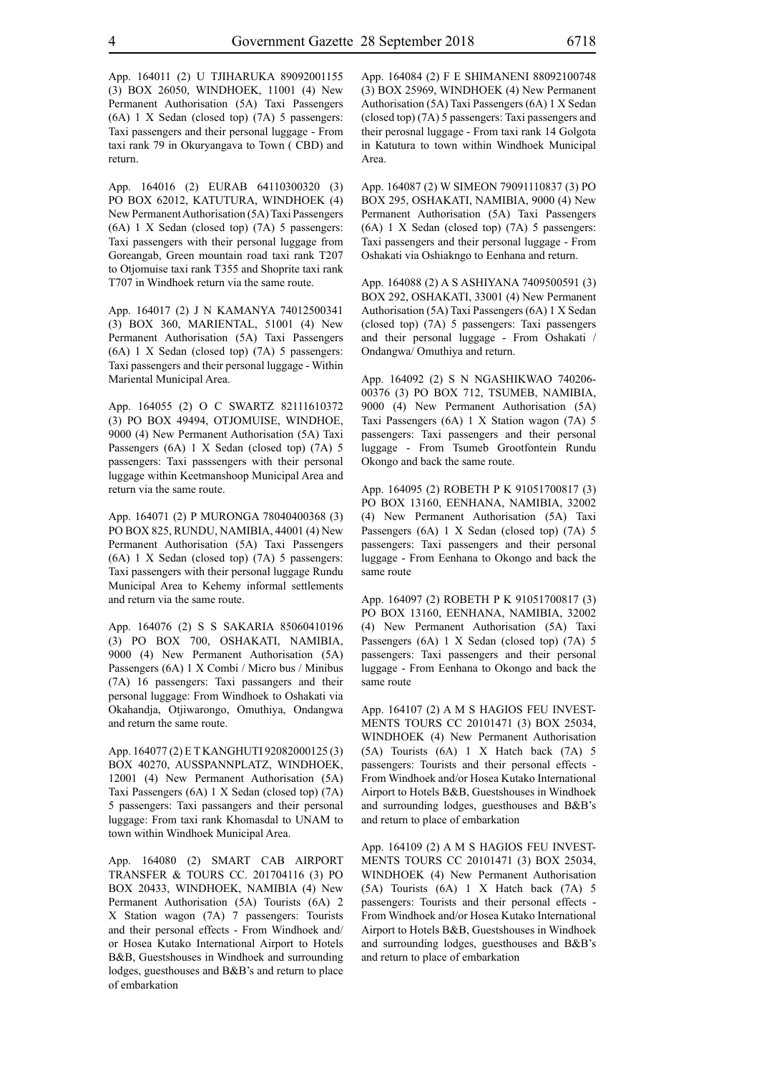App. 164011 (2) U TJIHARUKA 89092001155 (3) BOX 26050, WINDHOEK, 11001 (4) New Permanent Authorisation (5A) Taxi Passengers (6A) 1 X Sedan (closed top) (7A) 5 passengers: Taxi passengers and their personal luggage - From taxi rank 79 in Okuryangava to Town ( CBD) and return.

App. 164016 (2) EURAB 64110300320 (3) PO BOX 62012, KATUTURA, WINDHOEK (4) New Permanent Authorisation (5A) Taxi Passengers (6A) 1 X Sedan (closed top) (7A) 5 passengers: Taxi passengers with their personal luggage from Goreangab, Green mountain road taxi rank T207 to Otjomuise taxi rank T355 and Shoprite taxi rank T707 in Windhoek return via the same route.

App. 164017 (2) J N KAMANYA 74012500341 (3) BOX 360, MARIENTAL, 51001 (4) New Permanent Authorisation (5A) Taxi Passengers (6A) 1 X Sedan (closed top) (7A) 5 passengers: Taxi passengers and their personal luggage - Within Mariental Municipal Area.

App. 164055 (2) O C SWARTZ 82111610372 (3) PO BOX 49494, OTJOMUISE, WINDHOE, 9000 (4) New Permanent Authorisation (5A) Taxi Passengers (6A) 1 X Sedan (closed top) (7A) 5 passengers: Taxi passsengers with their personal luggage within Keetmanshoop Municipal Area and return via the same route.

App. 164071 (2) P MURONGA 78040400368 (3) PO BOX 825, RUNDU, NAMIBIA, 44001 (4) New Permanent Authorisation (5A) Taxi Passengers (6A) 1 X Sedan (closed top) (7A) 5 passengers: Taxi passengers with their personal luggage Rundu Municipal Area to Kehemy informal settlements and return via the same route.

App. 164076 (2) S S SAKARIA 85060410196 (3) PO BOX 700, OSHAKATI, NAMIBIA, 9000 (4) New Permanent Authorisation (5A) Passengers (6A) 1 X Combi / Micro bus / Minibus (7A) 16 passengers: Taxi passangers and their personal luggage: From Windhoek to Oshakati via Okahandja, Otjiwarongo, Omuthiya, Ondangwa and return the same route.

App. 164077 (2) E T KANGHUTI 92082000125 (3) BOX 40270, AUSSPANNPLATZ, WINDHOEK, 12001 (4) New Permanent Authorisation (5A) Taxi Passengers (6A) 1 X Sedan (closed top) (7A) 5 passengers: Taxi passangers and their personal luggage: From taxi rank Khomasdal to UNAM to town within Windhoek Municipal Area.

App. 164080 (2) SMART CAB AIRPORT TRANSFER & TOURS CC. 201704116 (3) PO BOX 20433, WINDHOEK, NAMIBIA (4) New Permanent Authorisation (5A) Tourists (6A) 2 X Station wagon (7A) 7 passengers: Tourists and their personal effects - From Windhoek and/ or Hosea Kutako International Airport to Hotels B&B, Guestshouses in Windhoek and surrounding lodges, guesthouses and B&B's and return to place of embarkation

App. 164084 (2) F E SHIMANENI 88092100748 (3) BOX 25969, WINDHOEK (4) New Permanent Authorisation (5A) Taxi Passengers (6A) 1 X Sedan (closed top) (7A) 5 passengers: Taxi passengers and their perosnal luggage - From taxi rank 14 Golgota in Katutura to town within Windhoek Municipal Area.

App. 164087 (2) W SIMEON 79091110837 (3) PO BOX 295, OSHAKATI, NAMIBIA, 9000 (4) New Permanent Authorisation (5A) Taxi Passengers (6A) 1 X Sedan (closed top) (7A) 5 passengers: Taxi passengers and their personal luggage - From Oshakati via Oshiakngo to Eenhana and return.

App. 164088 (2) A S ASHIYANA 7409500591 (3) BOX 292, OSHAKATI, 33001 (4) New Permanent Authorisation (5A) Taxi Passengers (6A) 1 X Sedan (closed top) (7A) 5 passengers: Taxi passengers and their personal luggage - From Oshakati / Ondangwa/ Omuthiya and return.

App. 164092 (2) S N NGASHIKWAO 740206- 00376 (3) PO BOX 712, TSUMEB, NAMIBIA, 9000 (4) New Permanent Authorisation (5A) Taxi Passengers (6A) 1 X Station wagon (7A) 5 passengers: Taxi passengers and their personal luggage - From Tsumeb Grootfontein Rundu Okongo and back the same route.

App. 164095 (2) ROBETH P K 91051700817 (3) PO BOX 13160, EENHANA, NAMIBIA, 32002 (4) New Permanent Authorisation (5A) Taxi Passengers (6A) 1 X Sedan (closed top) (7A) 5 passengers: Taxi passengers and their personal luggage - From Eenhana to Okongo and back the same route

App. 164097 (2) ROBETH P K 91051700817 (3) PO BOX 13160, EENHANA, NAMIBIA, 32002 (4) New Permanent Authorisation (5A) Taxi Passengers (6A) 1 X Sedan (closed top) (7A) 5 passengers: Taxi passengers and their personal luggage - From Eenhana to Okongo and back the same route

App. 164107 (2) A M S HAGIOS FEU INVEST-MENTS TOURS CC 20101471 (3) BOX 25034, WINDHOEK (4) New Permanent Authorisation (5A) Tourists (6A) 1 X Hatch back (7A) 5 passengers: Tourists and their personal effects - From Windhoek and/or Hosea Kutako International Airport to Hotels B&B, Guestshouses in Windhoek and surrounding lodges, guesthouses and B&B's and return to place of embarkation

App. 164109 (2) A M S HAGIOS FEU INVEST-MENTS TOURS CC 20101471 (3) BOX 25034, WINDHOEK (4) New Permanent Authorisation (5A) Tourists (6A) 1 X Hatch back (7A) 5 passengers: Tourists and their personal effects - From Windhoek and/or Hosea Kutako International Airport to Hotels B&B, Guestshouses in Windhoek and surrounding lodges, guesthouses and B&B's and return to place of embarkation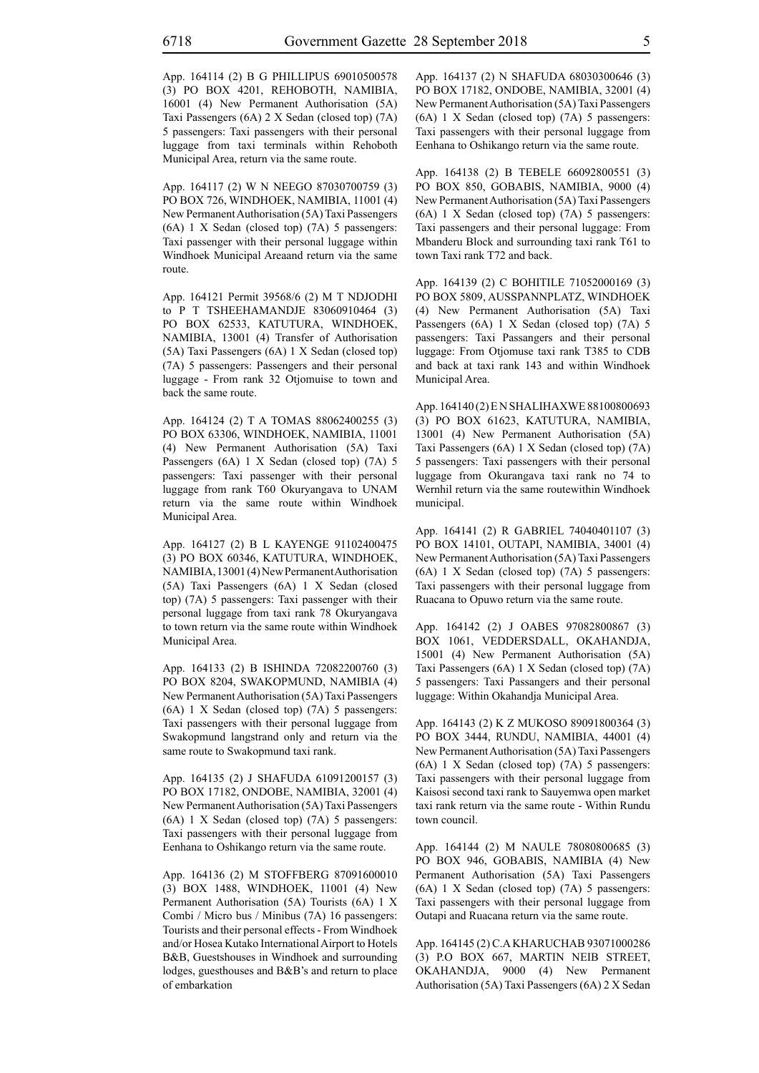App. 164114 (2) B G PHILLIPUS 69010500578 (3) PO BOX 4201, REHOBOTH, NAMIBIA, 16001 (4) New Permanent Authorisation (5A) Taxi Passengers (6A) 2 X Sedan (closed top) (7A) 5 passengers: Taxi passengers with their personal luggage from taxi terminals within Rehoboth Municipal Area, return via the same route.

App. 164117 (2) W N NEEGO 87030700759 (3) PO BOX 726, WINDHOEK, NAMIBIA, 11001 (4) New Permanent Authorisation (5A) Taxi Passengers (6A) 1 X Sedan (closed top) (7A) 5 passengers: Taxi passenger with their personal luggage within Windhoek Municipal Areaand return via the same route.

App. 164121 Permit 39568/6 (2) M T NDJODHI to P T TSHEEHAMANDJE 83060910464 (3) PO BOX 62533, KATUTURA, WINDHOEK, NAMIBIA, 13001 (4) Transfer of Authorisation (5A) Taxi Passengers (6A) 1 X Sedan (closed top) (7A) 5 passengers: Passengers and their personal luggage - From rank 32 Otjomuise to town and back the same route.

App. 164124 (2) T A TOMAS 88062400255 (3) PO BOX 63306, WINDHOEK, NAMIBIA, 11001 (4) New Permanent Authorisation (5A) Taxi Passengers (6A) 1 X Sedan (closed top) (7A) 5 passengers: Taxi passenger with their personal luggage from rank T60 Okuryangava to UNAM return via the same route within Windhoek Municipal Area.

App. 164127 (2) B L KAYENGE 91102400475 (3) PO BOX 60346, KATUTURA, WINDHOEK, NAMIBIA, 13001 (4) New Permanent Authorisation (5A) Taxi Passengers (6A) 1 X Sedan (closed top) (7A) 5 passengers: Taxi passenger with their personal luggage from taxi rank 78 Okuryangava to town return via the same route within Windhoek Municipal Area.

App. 164133 (2) B ISHINDA 72082200760 (3) PO BOX 8204, SWAKOPMUND, NAMIBIA (4) New Permanent Authorisation (5A) Taxi Passengers (6A) 1 X Sedan (closed top) (7A) 5 passengers: Taxi passengers with their personal luggage from Swakopmund langstrand only and return via the same route to Swakopmund taxi rank.

App. 164135 (2) J SHAFUDA 61091200157 (3) PO BOX 17182, ONDOBE, NAMIBIA, 32001 (4) New Permanent Authorisation (5A) Taxi Passengers (6A) 1 X Sedan (closed top) (7A) 5 passengers: Taxi passengers with their personal luggage from Eenhana to Oshikango return via the same route.

App. 164136 (2) M STOFFBERG 87091600010 (3) BOX 1488, WINDHOEK, 11001 (4) New Permanent Authorisation (5A) Tourists (6A) 1 X Combi / Micro bus / Minibus (7A) 16 passengers: Tourists and their personal effects - From Windhoek and/or Hosea Kutako International Airport to Hotels B&B, Guestshouses in Windhoek and surrounding lodges, guesthouses and B&B's and return to place of embarkation

App. 164137 (2) N SHAFUDA 68030300646 (3) PO BOX 17182, ONDOBE, NAMIBIA, 32001 (4) New Permanent Authorisation (5A) Taxi Passengers (6A) 1 X Sedan (closed top) (7A) 5 passengers: Taxi passengers with their personal luggage from Eenhana to Oshikango return via the same route.

App. 164138 (2) B TEBELE 66092800551 (3) PO BOX 850, GOBABIS, NAMIBIA, 9000 (4) New Permanent Authorisation (5A) Taxi Passengers (6A) 1 X Sedan (closed top) (7A) 5 passengers: Taxi passengers and their personal luggage: From Mbanderu Block and surrounding taxi rank T61 to town Taxi rank T72 and back.

App. 164139 (2) C BOHITILE 71052000169 (3) PO BOX 5809, AUSSPANNPLATZ, WINDHOEK (4) New Permanent Authorisation (5A) Taxi Passengers (6A) 1 X Sedan (closed top) (7A) 5 passengers: Taxi Passangers and their personal luggage: From Otjomuse taxi rank T385 to CDB and back at taxi rank 143 and within Windhoek Municipal Area.

App. 164140 (2) E N SHALIHAXWE 88100800693 (3) PO BOX 61623, KATUTURA, NAMIBIA, 13001 (4) New Permanent Authorisation (5A) Taxi Passengers (6A) 1 X Sedan (closed top) (7A) 5 passengers: Taxi passengers with their personal luggage from Okurangava taxi rank no 74 to Wernhil return via the same routewithin Windhoek municipal.

App. 164141 (2) R GABRIEL 74040401107 (3) PO BOX 14101, OUTAPI, NAMIBIA, 34001 (4) New Permanent Authorisation (5A) Taxi Passengers (6A) 1 X Sedan (closed top) (7A) 5 passengers: Taxi passengers with their personal luggage from Ruacana to Opuwo return via the same route.

App. 164142 (2) J OABES 97082800867 (3) BOX 1061, VEDDERSDALL, OKAHANDJA, 15001 (4) New Permanent Authorisation (5A) Taxi Passengers (6A) 1 X Sedan (closed top) (7A) 5 passengers: Taxi Passangers and their personal luggage: Within Okahandja Municipal Area.

App. 164143 (2) K Z MUKOSO 89091800364 (3) PO BOX 3444, RUNDU, NAMIBIA, 44001 (4) New Permanent Authorisation (5A) Taxi Passengers (6A) 1 X Sedan (closed top) (7A) 5 passengers: Taxi passengers with their personal luggage from Kaisosi second taxi rank to Sauyemwa open market taxi rank return via the same route - Within Rundu town council.

App. 164144 (2) M NAULE 78080800685 (3) PO BOX 946, GOBABIS, NAMIBIA (4) New Permanent Authorisation (5A) Taxi Passengers (6A) 1 X Sedan (closed top) (7A) 5 passengers: Taxi passengers with their personal luggage from Outapi and Ruacana return via the same route.

App. 164145 (2) C.A KHARUCHAB 93071000286 (3) P.O BOX 667, MARTIN NEIB STREET, OKAHANDJA, 9000 (4) New Permanent Authorisation (5A) Taxi Passengers (6A) 2 X Sedan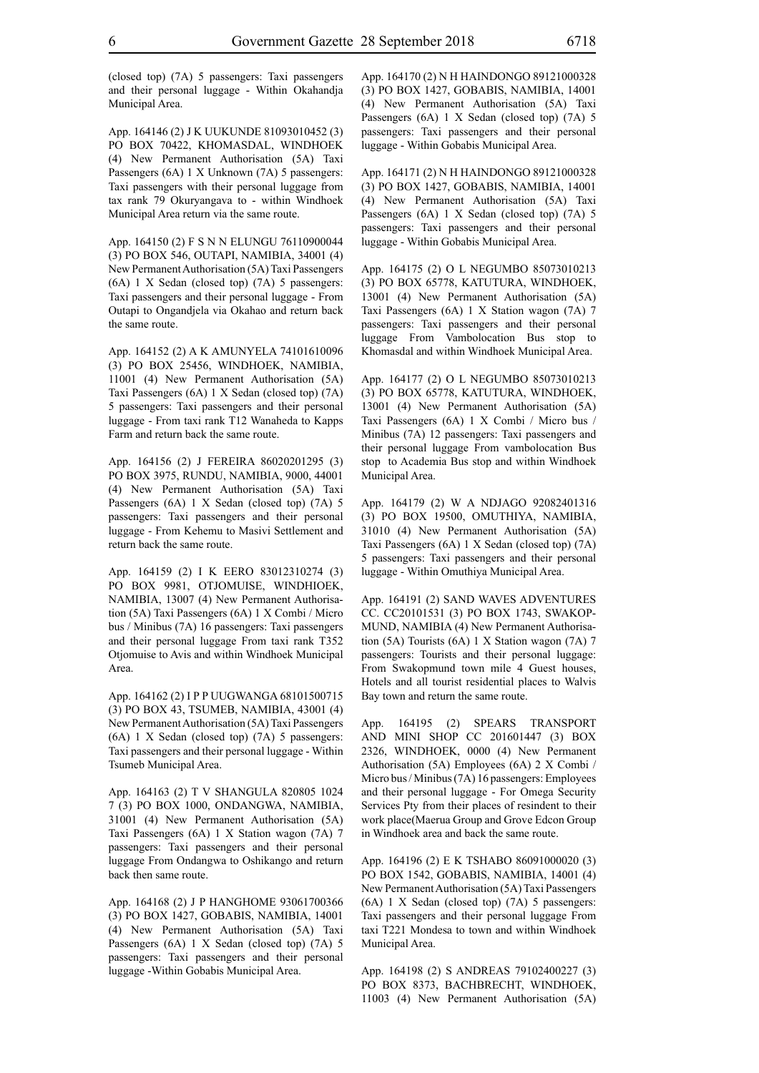(closed top) (7A) 5 passengers: Taxi passengers and their personal luggage - Within Okahandja Municipal Area.

App. 164146 (2) J K UUKUNDE 81093010452 (3) PO BOX 70422, KHOMASDAL, WINDHOEK (4) New Permanent Authorisation (5A) Taxi Passengers (6A) 1 X Unknown (7A) 5 passengers: Taxi passengers with their personal luggage from tax rank 79 Okuryangava to - within Windhoek Municipal Area return via the same route.

App. 164150 (2) F S N N ELUNGU 76110900044 (3) PO BOX 546, OUTAPI, NAMIBIA, 34001 (4) New Permanent Authorisation (5A) Taxi Passengers (6A) 1 X Sedan (closed top) (7A) 5 passengers: Taxi passengers and their personal luggage - From Outapi to Ongandjela via Okahao and return back the same route.

App. 164152 (2) A K AMUNYELA 74101610096 (3) PO BOX 25456, WINDHOEK, NAMIBIA, 11001 (4) New Permanent Authorisation (5A) Taxi Passengers (6A) 1 X Sedan (closed top) (7A) 5 passengers: Taxi passengers and their personal luggage - From taxi rank T12 Wanaheda to Kapps Farm and return back the same route.

App. 164156 (2) J FEREIRA 86020201295 (3) PO BOX 3975, RUNDU, NAMIBIA, 9000, 44001 (4) New Permanent Authorisation (5A) Taxi Passengers (6A) 1 X Sedan (closed top) (7A) 5 passengers: Taxi passengers and their personal luggage - From Kehemu to Masivi Settlement and return back the same route.

App. 164159 (2) I K EERO 83012310274 (3) PO BOX 9981, OTJOMUISE, WINDHIOEK, NAMIBIA, 13007 (4) New Permanent Authorisation (5A) Taxi Passengers (6A) 1 X Combi / Micro bus / Minibus (7A) 16 passengers: Taxi passengers and their personal luggage From taxi rank T352 Otjomuise to Avis and within Windhoek Municipal Area.

App. 164162 (2) I P P UUGWANGA 68101500715 (3) PO BOX 43, TSUMEB, NAMIBIA, 43001 (4) New Permanent Authorisation (5A) Taxi Passengers (6A) 1 X Sedan (closed top) (7A) 5 passengers: Taxi passengers and their personal luggage - Within Tsumeb Municipal Area.

App. 164163 (2) T V SHANGULA 820805 1024 7 (3) PO BOX 1000, ONDANGWA, NAMIBIA, 31001 (4) New Permanent Authorisation (5A) Taxi Passengers (6A) 1 X Station wagon (7A) 7 passengers: Taxi passengers and their personal luggage From Ondangwa to Oshikango and return back then same route.

App. 164168 (2) J P HANGHOME 93061700366 (3) PO BOX 1427, GOBABIS, NAMIBIA, 14001 (4) New Permanent Authorisation (5A) Taxi Passengers (6A) 1 X Sedan (closed top) (7A) 5 passengers: Taxi passengers and their personal luggage -Within Gobabis Municipal Area.

App. 164170 (2) N H HAINDONGO 89121000328 (3) PO BOX 1427, GOBABIS, NAMIBIA, 14001 (4) New Permanent Authorisation (5A) Taxi Passengers (6A) 1 X Sedan (closed top) (7A) 5 passengers: Taxi passengers and their personal luggage - Within Gobabis Municipal Area.

App. 164171 (2) N H HAINDONGO 89121000328 (3) PO BOX 1427, GOBABIS, NAMIBIA, 14001 (4) New Permanent Authorisation (5A) Taxi Passengers (6A) 1 X Sedan (closed top) (7A) 5 passengers: Taxi passengers and their personal luggage - Within Gobabis Municipal Area.

App. 164175 (2) O L NEGUMBO 85073010213 (3) PO BOX 65778, KATUTURA, WINDHOEK, 13001 (4) New Permanent Authorisation (5A) Taxi Passengers (6A) 1 X Station wagon (7A) 7 passengers: Taxi passengers and their personal luggage From Vambolocation Bus stop to Khomasdal and within Windhoek Municipal Area.

App. 164177 (2) O L NEGUMBO 85073010213 (3) PO BOX 65778, KATUTURA, WINDHOEK, 13001 (4) New Permanent Authorisation (5A) Taxi Passengers (6A) 1 X Combi / Micro bus / Minibus (7A) 12 passengers: Taxi passengers and their personal luggage From vambolocation Bus stop to Academia Bus stop and within Windhoek Municipal Area.

App. 164179 (2) W A NDJAGO 92082401316 (3) PO BOX 19500, OMUTHIYA, NAMIBIA, 31010 (4) New Permanent Authorisation (5A) Taxi Passengers (6A) 1 X Sedan (closed top) (7A) 5 passengers: Taxi passengers and their personal luggage - Within Omuthiya Municipal Area.

App. 164191 (2) SAND WAVES ADVENTURES CC. CC20101531 (3) PO BOX 1743, SWAKOP-MUND, NAMIBIA (4) New Permanent Authorisation (5A) Tourists (6A) 1 X Station wagon (7A) 7 passengers: Tourists and their personal luggage: From Swakopmund town mile 4 Guest houses, Hotels and all tourist residential places to Walvis Bay town and return the same route.

App. 164195 (2) SPEARS TRANSPORT AND MINI SHOP CC 201601447 (3) BOX 2326, WINDHOEK, 0000 (4) New Permanent Authorisation (5A) Employees (6A) 2 X Combi / Micro bus / Minibus (7A) 16 passengers: Employees and their personal luggage - For Omega Security Services Pty from their places of resindent to their work place(Maerua Group and Grove Edcon Group in Windhoek area and back the same route.

App. 164196 (2) E K TSHABO 86091000020 (3) PO BOX 1542, GOBABIS, NAMIBIA, 14001 (4) New Permanent Authorisation (5A) Taxi Passengers (6A) 1 X Sedan (closed top) (7A) 5 passengers: Taxi passengers and their personal luggage From taxi T221 Mondesa to town and within Windhoek Municipal Area.

App. 164198 (2) S ANDREAS 79102400227 (3) PO BOX 8373, BACHBRECHT, WINDHOEK, 11003 (4) New Permanent Authorisation (5A)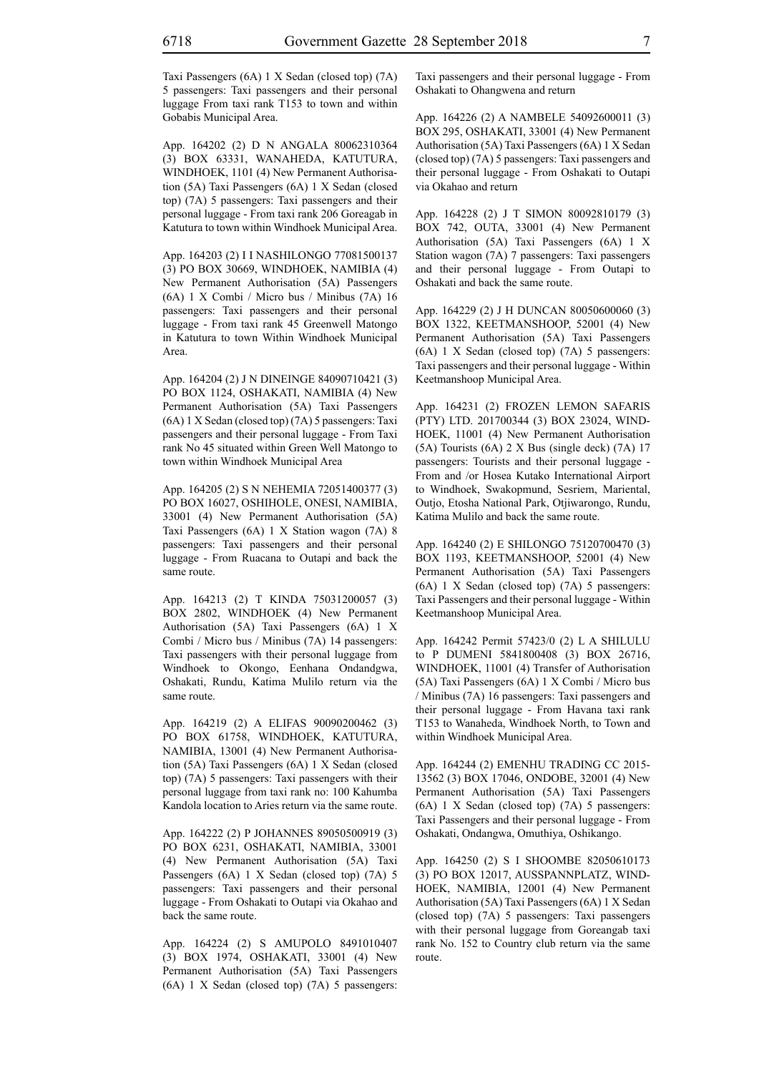App. 164202 (2) D N ANGALA 80062310364 (3) BOX 63331, WANAHEDA, KATUTURA, WINDHOEK, 1101 (4) New Permanent Authorisation (5A) Taxi Passengers (6A) 1 X Sedan (closed top) (7A) 5 passengers: Taxi passengers and their personal luggage - From taxi rank 206 Goreagab in Katutura to town within Windhoek Municipal Area.

App. 164203 (2) I I NASHILONGO 77081500137 (3) PO BOX 30669, WINDHOEK, NAMIBIA (4) New Permanent Authorisation (5A) Passengers (6A) 1 X Combi / Micro bus / Minibus (7A) 16 passengers: Taxi passengers and their personal luggage - From taxi rank 45 Greenwell Matongo in Katutura to town Within Windhoek Municipal Area.

App. 164204 (2) J N DINEINGE 84090710421 (3) PO BOX 1124, OSHAKATI, NAMIBIA (4) New Permanent Authorisation (5A) Taxi Passengers (6A) 1 X Sedan (closed top) (7A) 5 passengers: Taxi passengers and their personal luggage - From Taxi rank No 45 situated within Green Well Matongo to town within Windhoek Municipal Area

App. 164205 (2) S N NEHEMIA 72051400377 (3) PO BOX 16027, OSHIHOLE, ONESI, NAMIBIA, 33001 (4) New Permanent Authorisation (5A) Taxi Passengers (6A) 1 X Station wagon (7A) 8 passengers: Taxi passengers and their personal luggage - From Ruacana to Outapi and back the same route.

App. 164213 (2) T KINDA 75031200057 (3) BOX 2802, WINDHOEK (4) New Permanent Authorisation (5A) Taxi Passengers (6A) 1 X Combi / Micro bus / Minibus (7A) 14 passengers: Taxi passengers with their personal luggage from Windhoek to Okongo, Eenhana Ondandgwa, Oshakati, Rundu, Katima Mulilo return via the same route.

App. 164219 (2) A ELIFAS 90090200462 (3) PO BOX 61758, WINDHOEK, KATUTURA, NAMIBIA, 13001 (4) New Permanent Authorisation (5A) Taxi Passengers (6A) 1 X Sedan (closed top) (7A) 5 passengers: Taxi passengers with their personal luggage from taxi rank no: 100 Kahumba Kandola location to Aries return via the same route.

App. 164222 (2) P JOHANNES 89050500919 (3) PO BOX 6231, OSHAKATI, NAMIBIA, 33001 (4) New Permanent Authorisation (5A) Taxi Passengers (6A) 1 X Sedan (closed top) (7A) 5 passengers: Taxi passengers and their personal luggage - From Oshakati to Outapi via Okahao and back the same route.

App. 164224 (2) S AMUPOLO 8491010407 (3) BOX 1974, OSHAKATI, 33001 (4) New Permanent Authorisation (5A) Taxi Passengers (6A) 1 X Sedan (closed top) (7A) 5 passengers: Taxi passengers and their personal luggage - From Oshakati to Ohangwena and return

App. 164226 (2) A NAMBELE 54092600011 (3) BOX 295, OSHAKATI, 33001 (4) New Permanent Authorisation (5A) Taxi Passengers (6A) 1 X Sedan (closed top) (7A) 5 passengers: Taxi passengers and their personal luggage - From Oshakati to Outapi via Okahao and return

App. 164228 (2) J T SIMON 80092810179 (3) BOX 742, OUTA, 33001 (4) New Permanent Authorisation (5A) Taxi Passengers (6A) 1 X Station wagon (7A) 7 passengers: Taxi passengers and their personal luggage - From Outapi to Oshakati and back the same route.

App. 164229 (2) J H DUNCAN 80050600060 (3) BOX 1322, KEETMANSHOOP, 52001 (4) New Permanent Authorisation (5A) Taxi Passengers (6A) 1 X Sedan (closed top) (7A) 5 passengers: Taxi passengers and their personal luggage - Within Keetmanshoop Municipal Area.

App. 164231 (2) FROZEN LEMON SAFARIS (PTY) LTD. 201700344 (3) BOX 23024, WIND-HOEK, 11001 (4) New Permanent Authorisation (5A) Tourists (6A) 2 X Bus (single deck) (7A) 17 passengers: Tourists and their personal luggage - From and /or Hosea Kutako International Airport to Windhoek, Swakopmund, Sesriem, Mariental, Outjo, Etosha National Park, Otjiwarongo, Rundu, Katima Mulilo and back the same route.

App. 164240 (2) E SHILONGO 75120700470 (3) BOX 1193, KEETMANSHOOP, 52001 (4) New Permanent Authorisation (5A) Taxi Passengers (6A) 1 X Sedan (closed top) (7A) 5 passengers: Taxi Passengers and their personal luggage - Within Keetmanshoop Municipal Area.

App. 164242 Permit 57423/0 (2) L A SHILULU to P DUMENI 5841800408 (3) BOX 26716, WINDHOEK, 11001 (4) Transfer of Authorisation (5A) Taxi Passengers (6A) 1 X Combi / Micro bus / Minibus (7A) 16 passengers: Taxi passengers and their personal luggage - From Havana taxi rank T153 to Wanaheda, Windhoek North, to Town and within Windhoek Municipal Area.

App. 164244 (2) EMENHU TRADING CC 2015- 13562 (3) BOX 17046, ONDOBE, 32001 (4) New Permanent Authorisation (5A) Taxi Passengers (6A) 1 X Sedan (closed top) (7A) 5 passengers: Taxi Passengers and their personal luggage - From Oshakati, Ondangwa, Omuthiya, Oshikango.

App. 164250 (2) S I SHOOMBE 82050610173 (3) PO BOX 12017, AUSSPANNPLATZ, WIND-HOEK, NAMIBIA, 12001 (4) New Permanent Authorisation (5A) Taxi Passengers (6A) 1 X Sedan (closed top) (7A) 5 passengers: Taxi passengers with their personal luggage from Goreangab taxi rank No. 152 to Country club return via the same route.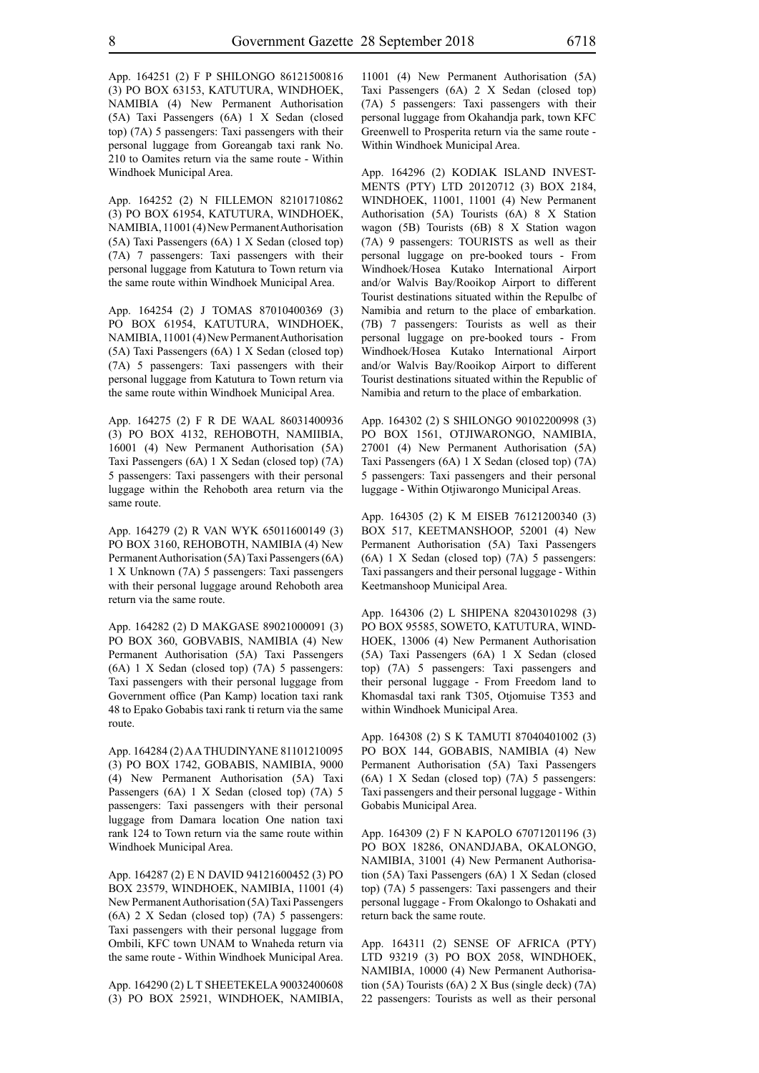App. 164251 (2) F P SHILONGO 86121500816 (3) PO BOX 63153, KATUTURA, WINDHOEK, NAMIBIA (4) New Permanent Authorisation (5A) Taxi Passengers (6A) 1 X Sedan (closed top) (7A) 5 passengers: Taxi passengers with their personal luggage from Goreangab taxi rank No. 210 to Oamites return via the same route - Within Windhoek Municipal Area.

App. 164252 (2) N FILLEMON 82101710862 (3) PO BOX 61954, KATUTURA, WINDHOEK, NAMIBIA, 11001 (4) New Permanent Authorisation (5A) Taxi Passengers (6A) 1 X Sedan (closed top) (7A) 7 passengers: Taxi passengers with their personal luggage from Katutura to Town return via the same route within Windhoek Municipal Area.

App. 164254 (2) J TOMAS 87010400369 (3) PO BOX 61954, KATUTURA, WINDHOEK, NAMIBIA, 11001 (4) New Permanent Authorisation (5A) Taxi Passengers (6A) 1 X Sedan (closed top) (7A) 5 passengers: Taxi passengers with their personal luggage from Katutura to Town return via the same route within Windhoek Municipal Area.

App. 164275 (2) F R DE WAAL 86031400936 (3) PO BOX 4132, REHOBOTH, NAMIIBIA, 16001 (4) New Permanent Authorisation (5A) Taxi Passengers (6A) 1 X Sedan (closed top) (7A) 5 passengers: Taxi passengers with their personal luggage within the Rehoboth area return via the same route.

App. 164279 (2) R VAN WYK 65011600149 (3) PO BOX 3160, REHOBOTH, NAMIBIA (4) New Permanent Authorisation (5A) Taxi Passengers (6A) 1 X Unknown (7A) 5 passengers: Taxi passengers with their personal luggage around Rehoboth area return via the same route.

App. 164282 (2) D MAKGASE 89021000091 (3) PO BOX 360, GOBVABIS, NAMIBIA (4) New Permanent Authorisation (5A) Taxi Passengers (6A) 1 X Sedan (closed top) (7A) 5 passengers: Taxi passengers with their personal luggage from Government office (Pan Kamp) location taxi rank 48 to Epako Gobabis taxi rank ti return via the same route.

App. 164284 (2) A A THUDINYANE 81101210095 (3) PO BOX 1742, GOBABIS, NAMIBIA, 9000 (4) New Permanent Authorisation (5A) Taxi Passengers (6A) 1 X Sedan (closed top) (7A) 5 passengers: Taxi passengers with their personal luggage from Damara location One nation taxi rank 124 to Town return via the same route within Windhoek Municipal Area.

App. 164287 (2) E N DAVID 94121600452 (3) PO BOX 23579, WINDHOEK, NAMIBIA, 11001 (4) New Permanent Authorisation (5A) Taxi Passengers (6A) 2 X Sedan (closed top) (7A) 5 passengers: Taxi passengers with their personal luggage from Ombili, Kfc town UNAM to Wnaheda return via the same route - Within Windhoek Municipal Area.

App. 164290 (2) L T SHEETEKELA 90032400608 (3) PO BOX 25921, WINDHOEK, NAMIBIA,

11001 (4) New Permanent Authorisation (5A) Taxi Passengers (6A) 2 X Sedan (closed top) (7A) 5 passengers: Taxi passengers with their personal luggage from Okahandja park, town KFC Greenwell to Prosperita return via the same route - Within Windhoek Municipal Area.

App. 164296 (2) KODIAK ISLAND INVEST-MENTS (PTY) LTD 20120712 (3) BOX 2184, WINDHOEK, 11001, 11001 (4) New Permanent Authorisation (5A) Tourists (6A) 8 X Station wagon (5B) Tourists (6B) 8 X Station wagon (7A) 9 passengers: TOURISTS as well as their personal luggage on pre-booked tours - From Windhoek/Hosea Kutako International Airport and/or Walvis Bay/Rooikop Airport to different Tourist destinations situated within the Repulbc of Namibia and return to the place of embarkation. (7B) 7 passengers: Tourists as well as their personal luggage on pre-booked tours - From Windhoek/Hosea Kutako International Airport and/or Walvis Bay/Rooikop Airport to different Tourist destinations situated within the Republic of Namibia and return to the place of embarkation.

App. 164302 (2) S SHILONGO 90102200998 (3) PO BOX 1561, OTJIWARONGO, NAMIBIA, 27001 (4) New Permanent Authorisation (5A) Taxi Passengers (6A) 1 X Sedan (closed top) (7A) 5 passengers: Taxi passengers and their personal luggage - Within Otjiwarongo Municipal Areas.

App. 164305 (2) K M EISEB 76121200340 (3) BOX 517, KEETMANSHOOP, 52001 (4) New Permanent Authorisation (5A) Taxi Passengers (6A) 1 X Sedan (closed top) (7A) 5 passengers: Taxi passangers and their personal luggage - Within Keetmanshoop Municipal Area.

App. 164306 (2) L SHIPENA 82043010298 (3) PO BOX 95585, SOWETO, KATUTURA, WIND-HOEK, 13006 (4) New Permanent Authorisation (5A) Taxi Passengers (6A) 1 X Sedan (closed top) (7A) 5 passengers: Taxi passengers and their personal luggage - From Freedom land to Khomasdal taxi rank T305, Otjomuise T353 and within Windhoek Municipal Area.

App. 164308 (2) S K TAMUTI 87040401002 (3) PO BOX 144, GOBABIS, NAMIBIA (4) New Permanent Authorisation (5A) Taxi Passengers (6A) 1 X Sedan (closed top) (7A) 5 passengers: Taxi passengers and their personal luggage - Within Gobabis Municipal Area.

App. 164309 (2) F N KAPOLO 67071201196 (3) PO BOX 18286, ONANDJABA, OKALONGO, NAMIBIA, 31001 (4) New Permanent Authorisation (5A) Taxi Passengers (6A) 1 X Sedan (closed top) (7A) 5 passengers: Taxi passengers and their personal luggage - From Okalongo to Oshakati and return back the same route.

App. 164311 (2) SENSE OF AFRICA (PTY) LTD 93219 (3) PO BOX 2058, WINDHOEK, NAMIBIA, 10000 (4) New Permanent Authorisation (5A) Tourists (6A) 2 X Bus (single deck) (7A) 22 passengers: Tourists as well as their personal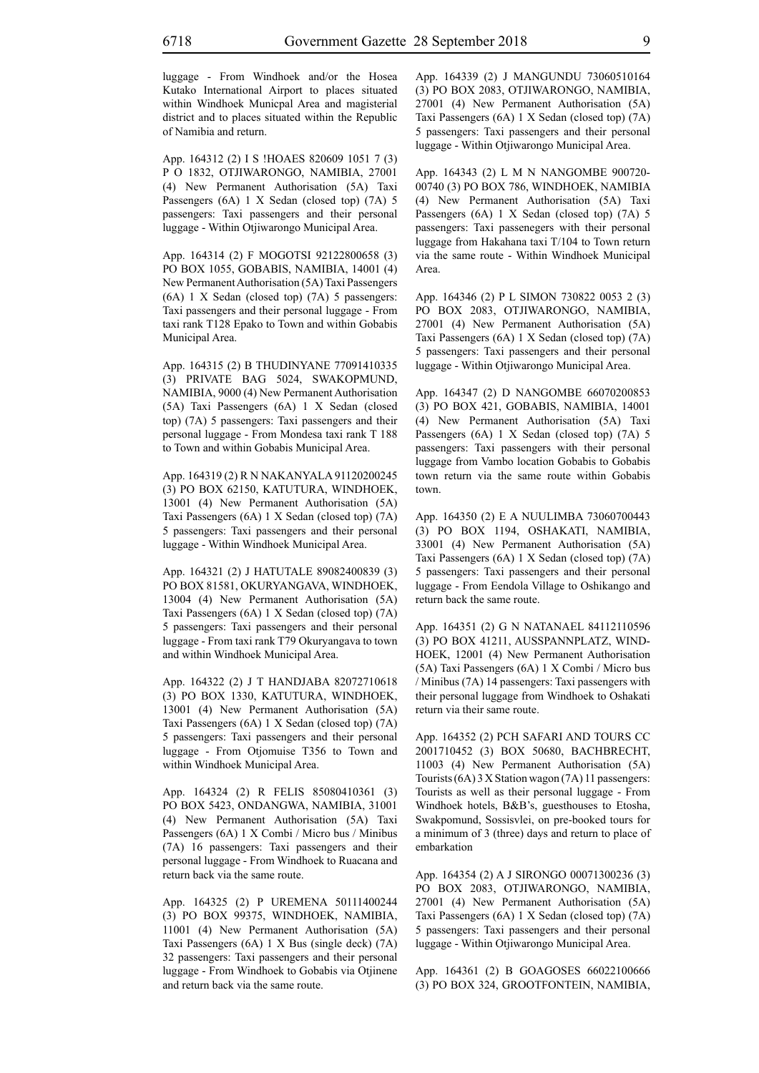luggage - From Windhoek and/or the Hosea Kutako International Airport to places situated within Windhoek Municpal Area and magisterial district and to places situated within the Republic of Namibia and return.

App. 164312 (2) I S !HOAES 820609 1051 7 (3) P O 1832, OTJIWARONGO, NAMIBIA, 27001 (4) New Permanent Authorisation (5A) Taxi Passengers (6A) 1 X Sedan (closed top) (7A) 5 passengers: Taxi passengers and their personal luggage - Within Otjiwarongo Municipal Area.

App. 164314 (2) F MOGOTSI 92122800658 (3) PO BOX 1055, GOBABIS, NAMIBIA, 14001 (4) New Permanent Authorisation (5A) Taxi Passengers (6A) 1 X Sedan (closed top) (7A) 5 passengers: Taxi passengers and their personal luggage - From taxi rank T128 Epako to Town and within Gobabis Municipal Area.

App. 164315 (2) B THUDINYANE 77091410335 (3) PRIVATE BAG 5024, SWAKOPMUND, NAMIBIA, 9000 (4) New Permanent Authorisation (5A) Taxi Passengers (6A) 1 X Sedan (closed top) (7A) 5 passengers: Taxi passengers and their personal luggage - From Mondesa taxi rank T 188 to Town and within Gobabis Municipal Area.

App. 164319 (2) R N NAKANYALA 91120200245 (3) PO BOX 62150, KATUTURA, WINDHOEK, 13001 (4) New Permanent Authorisation (5A) Taxi Passengers (6A) 1 X Sedan (closed top) (7A) 5 passengers: Taxi passengers and their personal luggage - Within Windhoek Municipal Area.

App. 164321 (2) J HATUTALE 89082400839 (3) PO BOX 81581, OKURYANGAVA, WINDHOEK, 13004 (4) New Permanent Authorisation (5A) Taxi Passengers (6A) 1 X Sedan (closed top) (7A) 5 passengers: Taxi passengers and their personal luggage - From taxi rank T79 Okuryangava to town and within Windhoek Municipal Area.

App. 164322 (2) J T HANDJABA 82072710618 (3) PO BOX 1330, KATUTURA, WINDHOEK, 13001 (4) New Permanent Authorisation (5A) Taxi Passengers (6A) 1 X Sedan (closed top) (7A) 5 passengers: Taxi passengers and their personal luggage - From Otjomuise T356 to Town and within Windhoek Municipal Area.

App. 164324 (2) R FELIS 85080410361 (3) PO BOX 5423, ONDANGWA, NAMIBIA, 31001 (4) New Permanent Authorisation (5A) Taxi Passengers (6A) 1 X Combi / Micro bus / Minibus (7A) 16 passengers: Taxi passengers and their personal luggage - From Windhoek to Ruacana and return back via the same route.

App. 164325 (2) P UREMENA 50111400244 (3) PO BOX 99375, WINDHOEK, NAMIBIA, 11001 (4) New Permanent Authorisation (5A) Taxi Passengers (6A) 1 X Bus (single deck) (7A) 32 passengers: Taxi passengers and their personal luggage - From Windhoek to Gobabis via Otjinene and return back via the same route.

App. 164339 (2) J MANGUNDU 73060510164 (3) PO BOX 2083, OTJIWARONGO, NAMIBIA, 27001 (4) New Permanent Authorisation (5A) Taxi Passengers (6A) 1 X Sedan (closed top) (7A) 5 passengers: Taxi passengers and their personal luggage - Within Otjiwarongo Municipal Area.

App. 164343 (2) L M N NANGOMBE 900720- 00740 (3) PO BOX 786, WINDHOEK, NAMIBIA (4) New Permanent Authorisation (5A) Taxi Passengers (6A) 1 X Sedan (closed top) (7A) 5 passengers: Taxi passenegers with their personal luggage from Hakahana taxi T/104 to Town return via the same route - Within Windhoek Municipal Area.

App. 164346 (2) P L SIMON 730822 0053 2 (3) PO BOX 2083, OTJIWARONGO, NAMIBIA, 27001 (4) New Permanent Authorisation (5A) Taxi Passengers (6A) 1 X Sedan (closed top) (7A) 5 passengers: Taxi passengers and their personal luggage - Within Otjiwarongo Municipal Area.

App. 164347 (2) D NANGOMBE 66070200853 (3) PO BOX 421, GOBABIS, NAMIBIA, 14001 (4) New Permanent Authorisation (5A) Taxi Passengers (6A) 1 X Sedan (closed top) (7A) 5 passengers: Taxi passengers with their personal luggage from Vambo location Gobabis to Gobabis town return via the same route within Gobabis town.

App. 164350 (2) E A NUULIMBA 73060700443 (3) PO BOX 1194, OSHAKATI, NAMIBIA, 33001 (4) New Permanent Authorisation (5A) Taxi Passengers (6A) 1 X Sedan (closed top) (7A) 5 passengers: Taxi passengers and their personal luggage - From Eendola Village to Oshikango and return back the same route.

App. 164351 (2) G N NATANAEL 84112110596 (3) PO BOX 41211, AUSSPANNPLATZ, WIND-HOEK, 12001 (4) New Permanent Authorisation (5A) Taxi Passengers (6A) 1 X Combi / Micro bus / Minibus (7A) 14 passengers: Taxi passengers with their personal luggage from Windhoek to Oshakati return via their same route.

App. 164352 (2) PCH SAFARI AND TOURS CC 2001710452 (3) BOX 50680, BACHBRECHT, 11003 (4) New Permanent Authorisation (5A) Tourists (6A) 3 X Station wagon (7A) 11 passengers: Tourists as well as their personal luggage - From Windhoek hotels, B&B's, guesthouses to Etosha, Swakpomund, Sossisvlei, on pre-booked tours for a minimum of 3 (three) days and return to place of embarkation

App. 164354 (2) A J SIRONGO 00071300236 (3) PO BOX 2083, OTJIWARONGO, NAMIBIA, 27001 (4) New Permanent Authorisation (5A) Taxi Passengers (6A) 1 X Sedan (closed top) (7A) 5 passengers: Taxi passengers and their personal luggage - Within Otjiwarongo Municipal Area.

App. 164361 (2) B GOAGOSES 66022100666 (3) PO BOX 324, GROOTFONTEIN, NAMIBIA,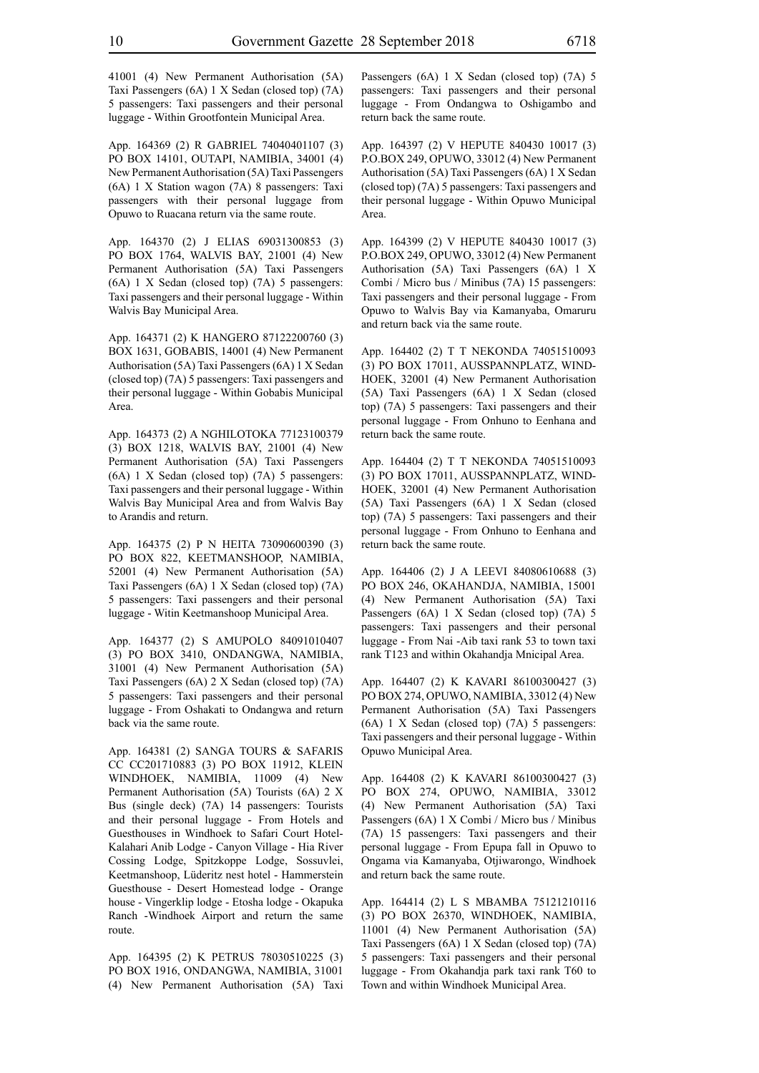41001 (4) New Permanent Authorisation (5A) Taxi Passengers (6A) 1 X Sedan (closed top) (7A) 5 passengers: Taxi passengers and their personal luggage - Within Grootfontein Municipal Area.

App. 164369 (2) R GABRIEL 74040401107 (3) PO BOX 14101, OUTAPI, NAMIBIA, 34001 (4) New Permanent Authorisation (5A) Taxi Passengers (6A) 1 X Station wagon (7A) 8 passengers: Taxi passengers with their personal luggage from Opuwo to Ruacana return via the same route.

App. 164370 (2) J ELIAS 69031300853 (3) PO BOX 1764, WALVIS BAY, 21001 (4) New Permanent Authorisation (5A) Taxi Passengers (6A) 1 X Sedan (closed top) (7A) 5 passengers: Taxi passengers and their personal luggage - Within Walvis Bay Municipal Area.

App. 164371 (2) K HANGERO 87122200760 (3) BOX 1631, GOBABIS, 14001 (4) New Permanent Authorisation (5A) Taxi Passengers (6A) 1 X Sedan (closed top) (7A) 5 passengers: Taxi passengers and their personal luggage - Within Gobabis Municipal Area.

App. 164373 (2) A NGHILOTOKA 77123100379 (3) BOX 1218, WALVIS BAY, 21001 (4) New Permanent Authorisation (5A) Taxi Passengers (6A) 1 X Sedan (closed top) (7A) 5 passengers: Taxi passengers and their personal luggage - Within Walvis Bay Municipal Area and from Walvis Bay to Arandis and return.

App. 164375 (2) P N HEITA 73090600390 (3) PO BOX 822, KEETMANSHOOP, NAMIBIA, 52001 (4) New Permanent Authorisation (5A) Taxi Passengers (6A) 1 X Sedan (closed top) (7A) 5 passengers: Taxi passengers and their personal luggage - Witin Keetmanshoop Municipal Area.

App. 164377 (2) S AMUPOLO 84091010407 (3) PO BOX 3410, ONDANGWA, NAMIBIA, 31001 (4) New Permanent Authorisation (5A) Taxi Passengers (6A) 2 X Sedan (closed top) (7A) 5 passengers: Taxi passengers and their personal luggage - From Oshakati to Ondangwa and return back via the same route.

App. 164381 (2) SANGA TOURS & SAFARIS CC CC201710883 (3) PO BOX 11912, KLEIN WINDHOEK, NAMIBIA, 11009 (4) New Permanent Authorisation (5A) Tourists (6A) 2 X Bus (single deck) (7A) 14 passengers: Tourists and their personal luggage - From Hotels and Guesthouses in Windhoek to Safari Court Hotel-Kalahari Anib Lodge - Canyon Village - Hia River Cossing Lodge, Spitzkoppe Lodge, Sossuvlei, Keetmanshoop, Lüderitz nest hotel - Hammerstein Guesthouse - Desert Homestead lodge - Orange house - Vingerklip lodge - Etosha lodge - Okapuka Ranch -Windhoek Airport and return the same route.

App. 164395 (2) K PETRUS 78030510225 (3) PO BOX 1916, ONDANGWA, NAMIBIA, 31001 (4) New Permanent Authorisation (5A) Taxi Passengers (6A) 1 X Sedan (closed top) (7A) 5 passengers: Taxi passengers and their personal luggage - From Ondangwa to Oshigambo and return back the same route.

App. 164397 (2) V HEPUTE 840430 10017 (3) P.O.BOX 249, OPUWO, 33012 (4) New Permanent Authorisation (5A) Taxi Passengers (6A) 1 X Sedan (closed top) (7A) 5 passengers: Taxi passengers and their personal luggage - Within Opuwo Municipal Area.

App. 164399 (2) V HEPUTE 840430 10017 (3) P.O.BOX 249, OPUWO, 33012 (4) New Permanent Authorisation (5A) Taxi Passengers (6A) 1 X Combi / Micro bus / Minibus (7A) 15 passengers: Taxi passengers and their personal luggage - From Opuwo to Walvis Bay via Kamanyaba, Omaruru and return back via the same route.

App. 164402 (2) T T NEKONDA 74051510093 (3) PO BOX 17011, AUSSPANNPLATZ, WIND-HOEK, 32001 (4) New Permanent Authorisation (5A) Taxi Passengers (6A) 1 X Sedan (closed top) (7A) 5 passengers: Taxi passengers and their personal luggage - From Onhuno to Eenhana and return back the same route.

App. 164404 (2) T T NEKONDA 74051510093 (3) PO BOX 17011, AUSSPANNPLATZ, WIND-HOEK, 32001 (4) New Permanent Authorisation (5A) Taxi Passengers (6A) 1 X Sedan (closed top) (7A) 5 passengers: Taxi passengers and their personal luggage - From Onhuno to Eenhana and return back the same route.

App. 164406 (2) J A LEEVI 84080610688 (3) PO BOX 246, OKAHANDJA, NAMIBIA, 15001 (4) New Permanent Authorisation (5A) Taxi Passengers (6A) 1 X Sedan (closed top) (7A) 5 passengers: Taxi passengers and their personal luggage - From Nai -Aib taxi rank 53 to town taxi rank T123 and within Okahandja Mnicipal Area.

App. 164407 (2) K KAVARI 86100300427 (3) PO BOX 274, OPUWO, NAMIBIA, 33012 (4) New Permanent Authorisation (5A) Taxi Passengers (6A) 1 X Sedan (closed top) (7A) 5 passengers: Taxi passengers and their personal luggage - Within Opuwo Municipal Area.

App. 164408 (2) K KAVARI 86100300427 (3) PO BOX 274, OPUWO, NAMIBIA, 33012 (4) New Permanent Authorisation (5A) Taxi Passengers (6A) 1 X Combi / Micro bus / Minibus (7A) 15 passengers: Taxi passengers and their personal luggage - From Epupa fall in Opuwo to Ongama via Kamanyaba, Otjiwarongo, Windhoek and return back the same route.

App. 164414 (2) L S MBAMBA 75121210116 (3) PO BOX 26370, WINDHOEK, NAMIBIA, 11001 (4) New Permanent Authorisation (5A) Taxi Passengers (6A) 1 X Sedan (closed top) (7A) 5 passengers: Taxi passengers and their personal luggage - From Okahandja park taxi rank T60 to Town and within Windhoek Municipal Area.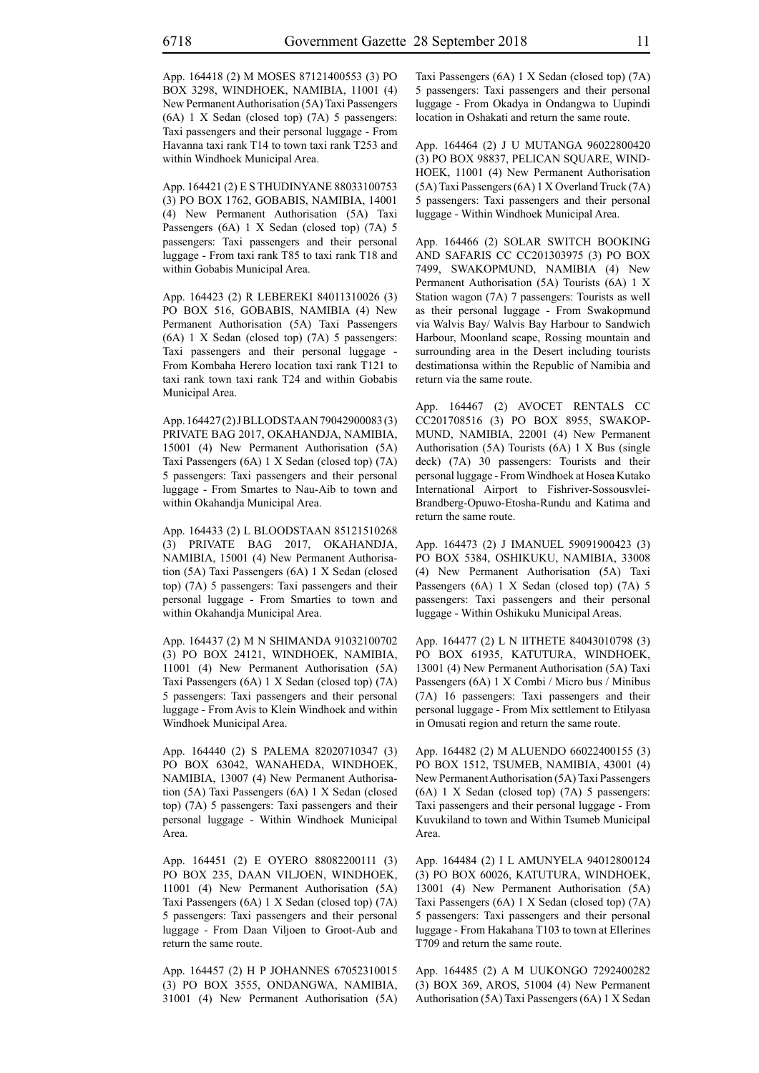App. 164418 (2) M MOSES 87121400553 (3) PO BOX 3298, WINDHOEK, NAMIBIA, 11001 (4) New Permanent Authorisation (5A) Taxi Passengers (6A) 1 X Sedan (closed top) (7A) 5 passengers: Taxi passengers and their personal luggage - From Havanna taxi rank T14 to town taxi rank T253 and within Windhoek Municipal Area.

App. 164421 (2) E S THUDINYANE 88033100753 (3) PO BOX 1762, GOBABIS, NAMIBIA, 14001 (4) New Permanent Authorisation (5A) Taxi Passengers (6A) 1 X Sedan (closed top) (7A) 5 passengers: Taxi passengers and their personal luggage - From taxi rank T85 to taxi rank T18 and within Gobabis Municipal Area.

App. 164423 (2) R LEBEREKI 84011310026 (3) PO BOX 516, GOBABIS, NAMIBIA (4) New Permanent Authorisation (5A) Taxi Passengers (6A) 1 X Sedan (closed top) (7A) 5 passengers: Taxi passengers and their personal luggage - From Kombaha Herero location taxi rank T121 to taxi rank town taxi rank T24 and within Gobabis Municipal Area.

App. 164427 (2) J BLLODSTAAN 79042900083 (3) PRIVATE BAG 2017, OKAHANDJA, NAMIBIA, 15001 (4) New Permanent Authorisation (5A) Taxi Passengers (6A) 1 X Sedan (closed top) (7A) 5 passengers: Taxi passengers and their personal luggage - From Smartes to Nau-Aib to town and within Okahandja Municipal Area.

App. 164433 (2) L BLOODSTAAN 85121510268 (3) PRIVATE BAG 2017, OKAHANDJA, NAMIBIA, 15001 (4) New Permanent Authorisation (5A) Taxi Passengers (6A) 1 X Sedan (closed top) (7A) 5 passengers: Taxi passengers and their personal luggage - From Smarties to town and within Okahandja Municipal Area.

App. 164437 (2) M N SHIMANDA 91032100702 (3) PO BOX 24121, WINDHOEK, NAMIBIA, 11001 (4) New Permanent Authorisation (5A) Taxi Passengers (6A) 1 X Sedan (closed top) (7A) 5 passengers: Taxi passengers and their personal luggage - From Avis to Klein Windhoek and within Windhoek Municipal Area.

App. 164440 (2) S PALEMA 82020710347 (3) PO BOX 63042, WANAHEDA, WINDHOEK, NAMIBIA, 13007 (4) New Permanent Authorisation (5A) Taxi Passengers (6A) 1 X Sedan (closed top) (7A) 5 passengers: Taxi passengers and their personal luggage - Within Windhoek Municipal Area.

App. 164451 (2) E OYERO 88082200111 (3) PO BOX 235, DAAN VILJOEN, WINDHOEK, 11001 (4) New Permanent Authorisation (5A) Taxi Passengers (6A) 1 X Sedan (closed top) (7A) 5 passengers: Taxi passengers and their personal luggage - From Daan Viljoen to Groot-Aub and return the same route.

App. 164457 (2) H P JOHANNES 67052310015 (3) PO BOX 3555, ONDANGWA, NAMIBIA, 31001 (4) New Permanent Authorisation (5A) Taxi Passengers (6A) 1 X Sedan (closed top) (7A) 5 passengers: Taxi passengers and their personal luggage - From Okadya in Ondangwa to Uupindi location in Oshakati and return the same route.

App. 164464 (2) J U MUTANGA 96022800420 (3) PO BOX 98837, PELICAN SQUARE, WIND-HOEK, 11001 (4) New Permanent Authorisation (5A) Taxi Passengers (6A) 1 X Overland Truck (7A) 5 passengers: Taxi passengers and their personal luggage - Within Windhoek Municipal Area.

App. 164466 (2) SOLAR SWITCH BOOKING AND SAFARIS CC CC201303975 (3) PO BOX 7499, SWAKOPMUND, NAMIBIA (4) New Permanent Authorisation (5A) Tourists (6A) 1 X Station wagon (7A) 7 passengers: Tourists as well as their personal luggage - From Swakopmund via Walvis Bay/ Walvis Bay Harbour to Sandwich Harbour, Moonland scape, Rossing mountain and surrounding area in the Desert including tourists destimationsa within the Republic of Namibia and return via the same route.

App. 164467 (2) AVOCET RENTALS CC CC201708516 (3) PO BOX 8955, SWAKOP-MUND, NAMIBIA, 22001 (4) New Permanent Authorisation (5A) Tourists (6A) 1 X Bus (single deck) (7A) 30 passengers: Tourists and their personal luggage - From Windhoek at Hosea Kutako International Airport to Fishriver-Sossousvlei-Brandberg-Opuwo-Etosha-Rundu and Katima and return the same route.

App. 164473 (2) J IMANUEL 59091900423 (3) PO BOX 5384, OSHIKUKU, NAMIBIA, 33008 (4) New Permanent Authorisation (5A) Taxi Passengers (6A) 1 X Sedan (closed top) (7A) 5 passengers: Taxi passengers and their personal luggage - Within Oshikuku Municipal Areas.

App. 164477 (2) L N IITHETE 84043010798 (3) PO BOX 61935, KATUTURA, WINDHOEK, 13001 (4) New Permanent Authorisation (5A) Taxi Passengers (6A) 1 X Combi / Micro bus / Minibus (7A) 16 passengers: Taxi passengers and their personal luggage - From Mix settlement to Etilyasa in Omusati region and return the same route.

App. 164482 (2) M ALUENDO 66022400155 (3) PO BOX 1512, TSUMEB, NAMIBIA, 43001 (4) New Permanent Authorisation (5A) Taxi Passengers (6A) 1 X Sedan (closed top) (7A) 5 passengers: Taxi passengers and their personal luggage - From Kuvukiland to town and Within Tsumeb Municipal Area.

App. 164484 (2) I L AMUNYELA 94012800124 (3) PO BOX 60026, KATUTURA, WINDHOEK, 13001 (4) New Permanent Authorisation (5A) Taxi Passengers (6A) 1 X Sedan (closed top) (7A) 5 passengers: Taxi passengers and their personal luggage - From Hakahana T103 to town at Ellerines T709 and return the same route.

App. 164485 (2) A M UUKONGO 7292400282 (3) BOX 369, AROS, 51004 (4) New Permanent Authorisation (5A) Taxi Passengers (6A) 1 X Sedan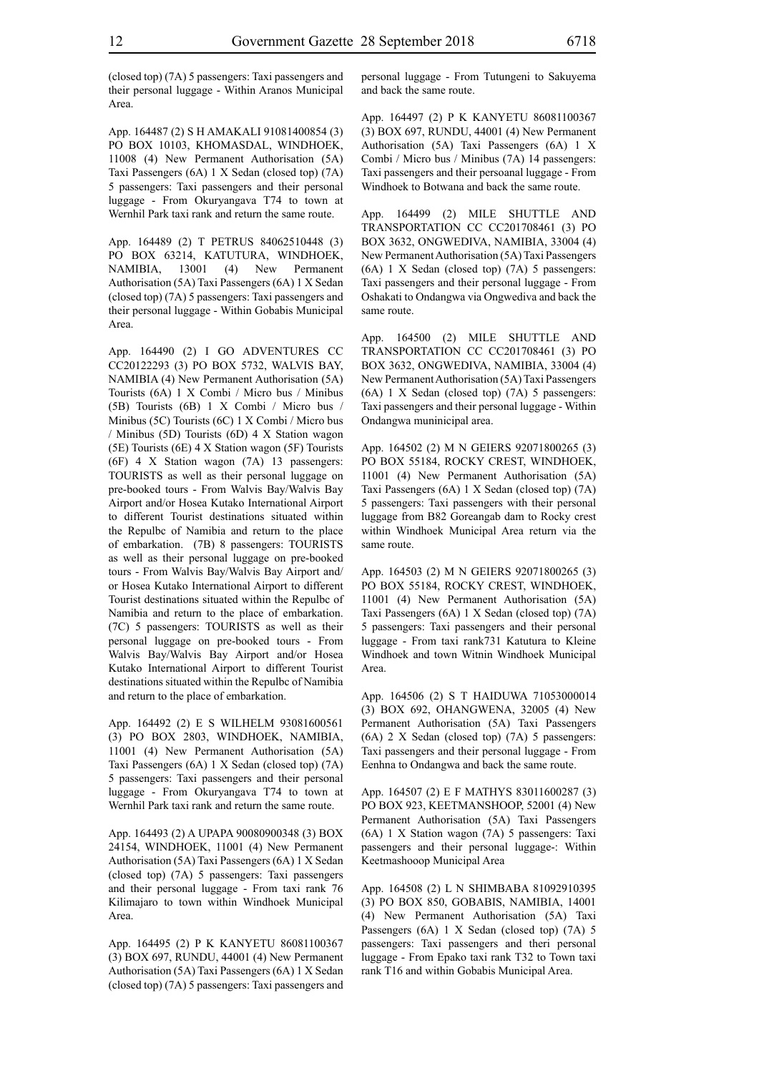(closed top) (7A) 5 passengers: Taxi passengers and their personal luggage - Within Aranos Municipal Area.

App. 164487 (2) S H AMAKALI 91081400854 (3) PO BOX 10103, KHOMASDAL, WINDHOEK, 11008 (4) New Permanent Authorisation (5A) Taxi Passengers (6A) 1 X Sedan (closed top) (7A) 5 passengers: Taxi passengers and their personal luggage - From Okuryangava T74 to town at Wernhil Park taxi rank and return the same route.

App. 164489 (2) T PETRUS 84062510448 (3) PO BOX 63214, KATUTURA, WINDHOEK, NAMIBIA, 13001 (4) New Permanent Authorisation (5A) Taxi Passengers (6A) 1 X Sedan (closed top) (7A) 5 passengers: Taxi passengers and their personal luggage - Within Gobabis Municipal Area.

App. 164490 (2) I GO ADVENTURES CC CC20122293 (3) PO BOX 5732, WALVIS BAY, NAMIBIA (4) New Permanent Authorisation (5A) Tourists (6A) 1 X Combi / Micro bus / Minibus (5B) Tourists (6B) 1 X Combi / Micro bus / Minibus (5C) Tourists (6C) 1 X Combi / Micro bus / Minibus (5D) Tourists (6D) 4 X Station wagon (5E) Tourists (6E) 4 X Station wagon (5F) Tourists (6F) 4 X Station wagon (7A) 13 passengers: TOURISTS as well as their personal luggage on pre-booked tours - From Walvis Bay/Walvis Bay Airport and/or Hosea Kutako International Airport to different Tourist destinations situated within the Repulbc of Namibia and return to the place of embarkation. (7B) 8 passengers: TOURISTS as well as their personal luggage on pre-booked tours - From Walvis Bay/Walvis Bay Airport and/ or Hosea Kutako International Airport to different Tourist destinations situated within the Repulbc of Namibia and return to the place of embarkation. (7C) 5 passengers: TOURISTS as well as their personal luggage on pre-booked tours - From Walvis Bay/Walvis Bay Airport and/or Hosea Kutako International Airport to different Tourist destinations situated within the Repulbc of Namibia and return to the place of embarkation.

App. 164492 (2) E S WILHELM 93081600561 (3) PO BOX 2803, WINDHOEK, NAMIBIA, 11001 (4) New Permanent Authorisation (5A) Taxi Passengers (6A) 1 X Sedan (closed top) (7A) 5 passengers: Taxi passengers and their personal luggage - From Okuryangava T74 to town at Wernhil Park taxi rank and return the same route.

App. 164493 (2) A UPAPA 90080900348 (3) BOX 24154, WINDHOEK, 11001 (4) New Permanent Authorisation (5A) Taxi Passengers (6A) 1 X Sedan (closed top) (7A) 5 passengers: Taxi passengers and their personal luggage - From taxi rank 76 Kilimajaro to town within Windhoek Municipal Area.

App. 164495 (2) P K KANYETU 86081100367 (3) BOX 697, RUNDU, 44001 (4) New Permanent Authorisation (5A) Taxi Passengers (6A) 1 X Sedan (closed top) (7A) 5 passengers: Taxi passengers and personal luggage - From Tutungeni to Sakuyema and back the same route.

App. 164497 (2) P K KANYETU 86081100367 (3) BOX 697, RUNDU, 44001 (4) New Permanent Authorisation (5A) Taxi Passengers (6A) 1 X Combi / Micro bus / Minibus (7A) 14 passengers: Taxi passengers and their persoanal luggage - From Windhoek to Botwana and back the same route.

App. 164499 (2) MILE SHUTTLE AND TRANSPORTATION CC CC201708461 (3) PO BOX 3632, ONGWEDIVA, NAMIBIA, 33004 (4) New Permanent Authorisation (5A) Taxi Passengers (6A) 1 X Sedan (closed top) (7A) 5 passengers: Taxi passengers and their personal luggage - From Oshakati to Ondangwa via Ongwediva and back the same route.

App. 164500 (2) MILE SHUTTLE AND TRANSPORTATION CC CC201708461 (3) PO BOX 3632, ONGWEDIVA, NAMIBIA, 33004 (4) New Permanent Authorisation (5A) Taxi Passengers (6A) 1 X Sedan (closed top) (7A) 5 passengers: Taxi passengers and their personal luggage - Within Ondangwa muninicipal area.

App. 164502 (2) M N GEIERS 92071800265 (3) PO BOX 55184, ROCKY CREST, WINDHOEK, 11001 (4) New Permanent Authorisation (5A) Taxi Passengers (6A) 1 X Sedan (closed top) (7A) 5 passengers: Taxi passengers with their personal luggage from B82 Goreangab dam to Rocky crest within Windhoek Municipal Area return via the same route.

App. 164503 (2) M N GEIERS 92071800265 (3) PO BOX 55184, ROCKY CREST, WINDHOEK, 11001 (4) New Permanent Authorisation (5A) Taxi Passengers (6A) 1 X Sedan (closed top) (7A) 5 passengers: Taxi passengers and their personal luggage - From taxi rank731 Katutura to Kleine Windhoek and town Witnin Windhoek Municipal Area.

App. 164506 (2) S T HAIDUWA 71053000014 (3) BOX 692, OHANGWENA, 32005 (4) New Permanent Authorisation (5A) Taxi Passengers (6A) 2 X Sedan (closed top) (7A) 5 passengers: Taxi passengers and their personal luggage - From Eenhna to Ondangwa and back the same route.

App. 164507 (2) E F MATHYS 83011600287 (3) PO BOX 923, KEETMANSHOOP, 52001 (4) New Permanent Authorisation (5A) Taxi Passengers (6A) 1 X Station wagon (7A) 5 passengers: Taxi passengers and their personal luggage-: Within Keetmashooop Municipal Area

App. 164508 (2) L N SHIMBABA 81092910395 (3) PO BOX 850, GOBABIS, NAMIBIA, 14001 (4) New Permanent Authorisation (5A) Taxi Passengers (6A) 1 X Sedan (closed top) (7A) 5 passengers: Taxi passengers and theri personal luggage - From Epako taxi rank T32 to Town taxi rank T16 and within Gobabis Municipal Area.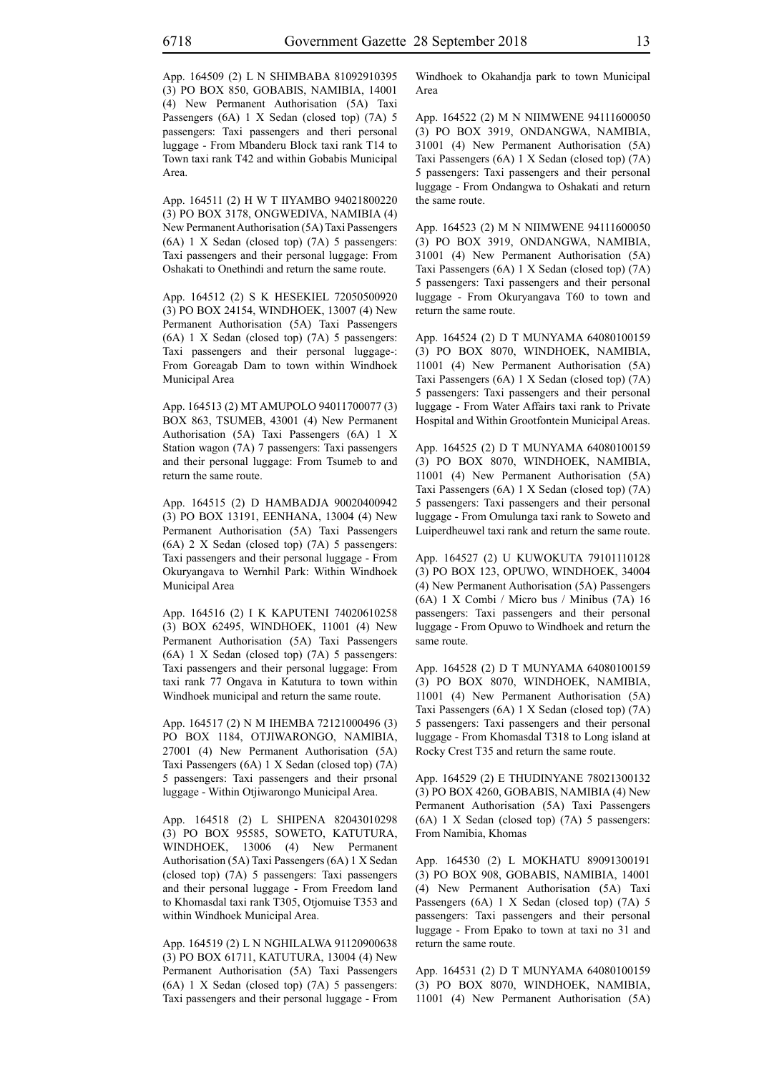App. 164509 (2) L N SHIMBABA 81092910395 (3) PO BOX 850, GOBABIS, NAMIBIA, 14001 (4) New Permanent Authorisation (5A) Taxi Passengers (6A) 1 X Sedan (closed top) (7A) 5 passengers: Taxi passengers and theri personal luggage - From Mbanderu Block taxi rank T14 to Town taxi rank T42 and within Gobabis Municipal Area.

App. 164511 (2) H W T IIYAMBO 94021800220 (3) PO BOX 3178, ONGWEDIVA, NAMIBIA (4) New Permanent Authorisation (5A) Taxi Passengers (6A) 1 X Sedan (closed top) (7A) 5 passengers: Taxi passengers and their personal luggage: From Oshakati to Onethindi and return the same route.

App. 164512 (2) S K HESEKIEL 72050500920 (3) PO BOX 24154, WINDHOEK, 13007 (4) New Permanent Authorisation (5A) Taxi Passengers (6A) 1 X Sedan (closed top) (7A) 5 passengers: Taxi passengers and their personal luggage-: From Goreagab Dam to town within Windhoek Municipal Area

App. 164513 (2) MT AMUPOLO 94011700077 (3) BOX 863, TSUMEB, 43001 (4) New Permanent Authorisation (5A) Taxi Passengers (6A) 1 X Station wagon (7A) 7 passengers: Taxi passengers and their personal luggage: From Tsumeb to and return the same route.

App. 164515 (2) D HAMBADJA 90020400942 (3) PO BOX 13191, EENHANA, 13004 (4) New Permanent Authorisation (5A) Taxi Passengers (6A) 2 X Sedan (closed top) (7A) 5 passengers: Taxi passengers and their personal luggage - From Okuryangava to Wernhil Park: Within Windhoek Municipal Area

App. 164516 (2) I K KAPUTENI 74020610258 (3) BOX 62495, WINDHOEK, 11001 (4) New Permanent Authorisation (5A) Taxi Passengers (6A) 1 X Sedan (closed top) (7A) 5 passengers: Taxi passengers and their personal luggage: From taxi rank 77 Ongava in Katutura to town within Windhoek municipal and return the same route.

App. 164517 (2) N M IHEMBA 72121000496 (3) PO BOX 1184, OTJIWARONGO, NAMIBIA, 27001 (4) New Permanent Authorisation (5A) Taxi Passengers (6A) 1 X Sedan (closed top) (7A) 5 passengers: Taxi passengers and their prsonal luggage - Within Otjiwarongo Municipal Area.

App. 164518 (2) L SHIPENA 82043010298 (3) PO BOX 95585, SOWETO, KATUTURA, WINDHOEK, 13006 (4) New Permanent Authorisation (5A) Taxi Passengers (6A) 1 X Sedan (closed top) (7A) 5 passengers: Taxi passengers and their personal luggage - From Freedom land to Khomasdal taxi rank T305, Otjomuise T353 and within Windhoek Municipal Area.

App. 164519 (2) L N NGHILALWA 91120900638 (3) PO BOX 61711, KATUTURA, 13004 (4) New Permanent Authorisation (5A) Taxi Passengers (6A) 1 X Sedan (closed top) (7A) 5 passengers: Taxi passengers and their personal luggage - From Windhoek to Okahandja park to town Municipal Area

App. 164522 (2) M N NIIMWENE 94111600050 (3) PO BOX 3919, ONDANGWA, NAMIBIA, 31001 (4) New Permanent Authorisation (5A) Taxi Passengers (6A) 1 X Sedan (closed top) (7A) 5 passengers: Taxi passengers and their personal luggage - From Ondangwa to Oshakati and return the same route.

App. 164523 (2) M N NIIMWENE 94111600050 (3) PO BOX 3919, ONDANGWA, NAMIBIA, 31001 (4) New Permanent Authorisation (5A) Taxi Passengers (6A) 1 X Sedan (closed top) (7A) 5 passengers: Taxi passengers and their personal luggage - From Okuryangava T60 to town and return the same route.

App. 164524 (2) D T MUNYAMA 64080100159 (3) PO BOX 8070, WINDHOEK, NAMIBIA, 11001 (4) New Permanent Authorisation (5A) Taxi Passengers (6A) 1 X Sedan (closed top) (7A) 5 passengers: Taxi passengers and their personal luggage - From Water Affairs taxi rank to Private Hospital and Within Grootfontein Municipal Areas.

App. 164525 (2) D T MUNYAMA 64080100159 (3) PO BOX 8070, WINDHOEK, NAMIBIA, 11001 (4) New Permanent Authorisation (5A) Taxi Passengers (6A) 1 X Sedan (closed top) (7A) 5 passengers: Taxi passengers and their personal luggage - From Omulunga taxi rank to Soweto and Luiperdheuwel taxi rank and return the same route.

App. 164527 (2) U KUWOKUTA 79101110128 (3) PO BOX 123, OPUWO, WINDHOEK, 34004 (4) New Permanent Authorisation (5A) Passengers (6A) 1 X Combi / Micro bus / Minibus (7A) 16 passengers: Taxi passengers and their personal luggage - From Opuwo to Windhoek and return the same route.

App. 164528 (2) D T MUNYAMA 64080100159 (3) PO BOX 8070, WINDHOEK, NAMIBIA, 11001 (4) New Permanent Authorisation (5A) Taxi Passengers (6A) 1 X Sedan (closed top) (7A) 5 passengers: Taxi passengers and their personal luggage - From Khomasdal T318 to Long island at Rocky Crest T35 and return the same route.

App. 164529 (2) E THUDINYANE 78021300132 (3) PO BOX 4260, GOBABIS, NAMIBIA (4) New Permanent Authorisation (5A) Taxi Passengers (6A) 1 X Sedan (closed top) (7A) 5 passengers: From Namibia, Khomas

App. 164530 (2) L MOKHATU 89091300191 (3) PO BOX 908, GOBABIS, NAMIBIA, 14001 (4) New Permanent Authorisation (5A) Taxi Passengers (6A) 1 X Sedan (closed top) (7A) 5 passengers: Taxi passengers and their personal luggage - From Epako to town at taxi no 31 and return the same route.

App. 164531 (2) D T MUNYAMA 64080100159 (3) PO BOX 8070, WINDHOEK, NAMIBIA, 11001 (4) New Permanent Authorisation (5A)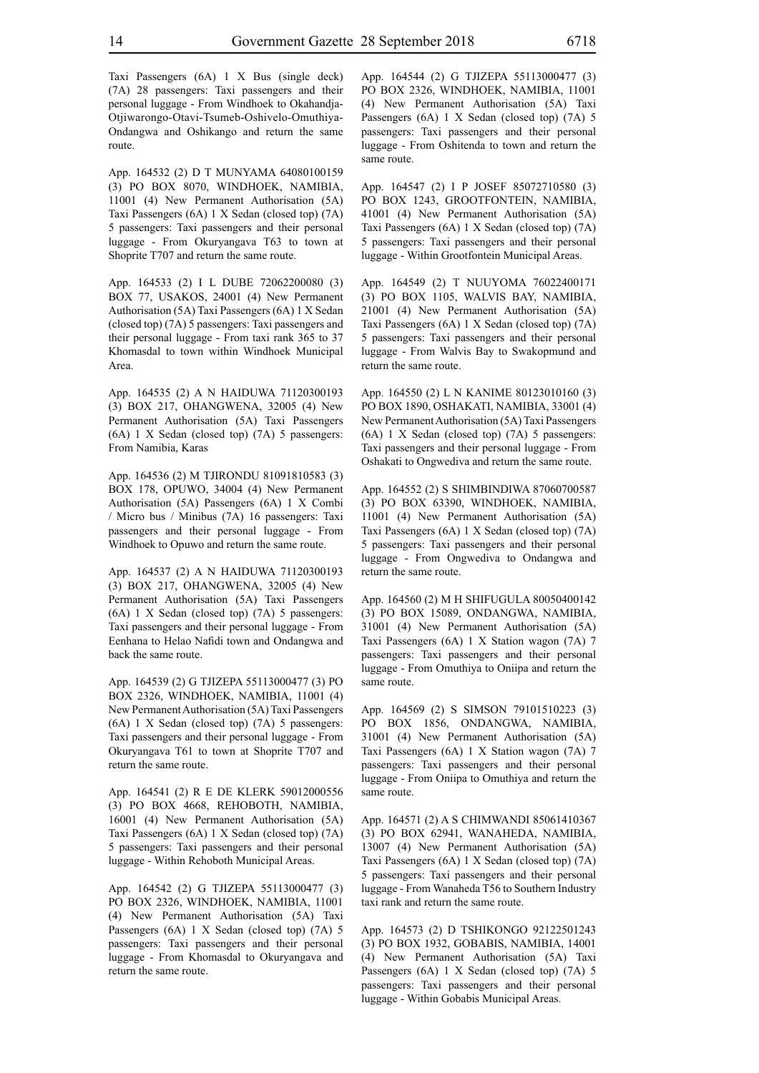App. 164532 (2) D T MUNYAMA 64080100159 (3) PO BOX 8070, WINDHOEK, NAMIBIA, 11001 (4) New Permanent Authorisation (5A) Taxi Passengers (6A) 1 X Sedan (closed top) (7A) 5 passengers: Taxi passengers and their personal luggage - From Okuryangava T63 to town at Shoprite T707 and return the same route.

App. 164533 (2) I L DUBE 72062200080 (3) BOX 77, USAKOS, 24001 (4) New Permanent Authorisation (5A) Taxi Passengers (6A) 1 X Sedan (closed top) (7A) 5 passengers: Taxi passengers and their personal luggage - From taxi rank 365 to 37 Khomasdal to town within Windhoek Municipal Area.

App. 164535 (2) A N HAIDUWA 71120300193 (3) BOX 217, OHANGWENA, 32005 (4) New Permanent Authorisation (5A) Taxi Passengers (6A) 1 X Sedan (closed top) (7A) 5 passengers: From Namibia, Karas

App. 164536 (2) M TJIRONDU 81091810583 (3) BOX 178, OPUWO, 34004 (4) New Permanent Authorisation (5A) Passengers (6A) 1 X Combi / Micro bus / Minibus (7A) 16 passengers: Taxi passengers and their personal luggage - From Windhoek to Opuwo and return the same route.

App. 164537 (2) A N HAIDUWA 71120300193 (3) BOX 217, OHANGWENA, 32005 (4) New Permanent Authorisation (5A) Taxi Passengers (6A) 1 X Sedan (closed top) (7A) 5 passengers: Taxi passengers and their personal luggage - From Eenhana to Helao Nafidi town and Ondangwa and back the same route.

App. 164539 (2) G TJIZEPA 55113000477 (3) PO BOX 2326, WINDHOEK, NAMIBIA, 11001 (4) New Permanent Authorisation (5A) Taxi Passengers (6A) 1 X Sedan (closed top) (7A) 5 passengers: Taxi passengers and their personal luggage - From Okuryangava T61 to town at Shoprite T707 and return the same route.

App. 164541 (2) R E DE KLERK 59012000556 (3) PO BOX 4668, REHOBOTH, NAMIBIA, 16001 (4) New Permanent Authorisation (5A) Taxi Passengers (6A) 1 X Sedan (closed top) (7A) 5 passengers: Taxi passengers and their personal luggage - Within Rehoboth Municipal Areas.

App. 164542 (2) G TJIZEPA 55113000477 (3) PO BOX 2326, WINDHOEK, NAMIBIA, 11001 (4) New Permanent Authorisation (5A) Taxi Passengers (6A) 1 X Sedan (closed top) (7A) 5 passengers: Taxi passengers and their personal luggage - From Khomasdal to Okuryangava and return the same route.

App. 164544 (2) G TJIZEPA 55113000477 (3) PO BOX 2326, WINDHOEK, NAMIBIA, 11001 (4) New Permanent Authorisation (5A) Taxi Passengers (6A) 1 X Sedan (closed top) (7A) 5 passengers: Taxi passengers and their personal luggage - From Oshitenda to town and return the same route.

App. 164547 (2) I P JOSEF 85072710580 (3) PO BOX 1243, GROOTFONTEIN, NAMIBIA, 41001 (4) New Permanent Authorisation (5A) Taxi Passengers (6A) 1 X Sedan (closed top) (7A) 5 passengers: Taxi passengers and their personal luggage - Within Grootfontein Municipal Areas.

App. 164549 (2) T NUUYOMA 76022400171 (3) PO BOX 1105, WALVIS BAY, NAMIBIA, 21001 (4) New Permanent Authorisation (5A) Taxi Passengers (6A) 1 X Sedan (closed top) (7A) 5 passengers: Taxi passengers and their personal luggage - From Walvis Bay to Swakopmund and return the same route.

App. 164550 (2) L N KANIME 80123010160 (3) PO BOX 1890, OSHAKATI, NAMIBIA, 33001 (4) New Permanent Authorisation (5A) Taxi Passengers (6A) 1 X Sedan (closed top) (7A) 5 passengers: Taxi passengers and their personal luggage - From Oshakati to Ongwediva and return the same route.

App. 164552 (2) S SHIMBINDIWA 87060700587 (3) PO BOX 63390, WINDHOEK, NAMIBIA, 11001 (4) New Permanent Authorisation (5A) Taxi Passengers (6A) 1 X Sedan (closed top) (7A) 5 passengers: Taxi passengers and their personal luggage - From Ongwediva to Ondangwa and return the same route.

App. 164560 (2) M H SHIFUGULA 80050400142 (3) PO BOX 15089, ONDANGWA, NAMIBIA, 31001 (4) New Permanent Authorisation (5A) Taxi Passengers (6A) 1 X Station wagon (7A) 7 passengers: Taxi passengers and their personal luggage - From Omuthiya to Oniipa and return the same route.

App. 164569 (2) S SIMSON 79101510223 (3) PO BOX 1856, ONDANGWA, NAMIBIA, 31001 (4) New Permanent Authorisation (5A) Taxi Passengers (6A) 1 X Station wagon (7A) 7 passengers: Taxi passengers and their personal luggage - From Oniipa to Omuthiya and return the same route.

App. 164571 (2) A S CHIMWANDI 85061410367 (3) PO BOX 62941, WANAHEDA, NAMIBIA, 13007 (4) New Permanent Authorisation (5A) Taxi Passengers (6A) 1 X Sedan (closed top) (7A) 5 passengers: Taxi passengers and their personal luggage - From Wanaheda T56 to Southern Industry taxi rank and return the same route.

App. 164573 (2) D TSHIKONGO 92122501243 (3) PO BOX 1932, GOBABIS, NAMIBIA, 14001 (4) New Permanent Authorisation (5A) Taxi Passengers (6A) 1 X Sedan (closed top) (7A) 5 passengers: Taxi passengers and their personal luggage - Within Gobabis Municipal Areas.

route.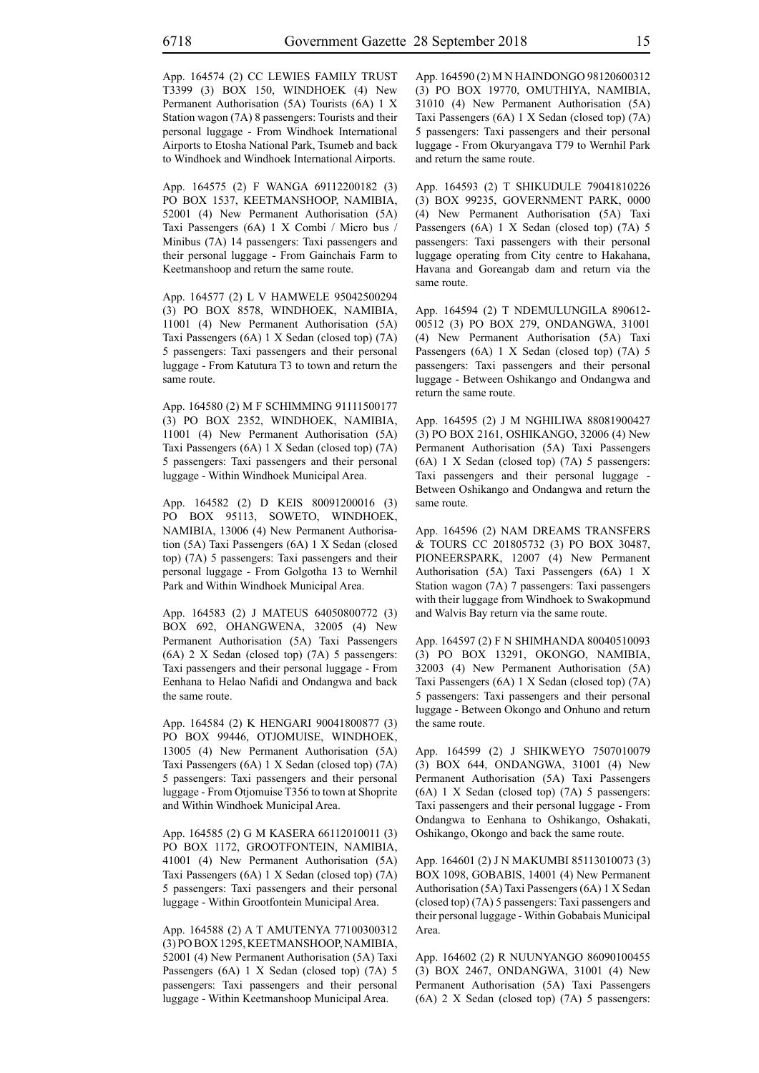App. 164574 (2) CC LEWIES FAMILY TRUST T3399 (3) BOX 150, WINDHOEK (4) New Permanent Authorisation (5A) Tourists (6A) 1 X Station wagon (7A) 8 passengers: Tourists and their personal luggage - From Windhoek International Airports to Etosha National Park, Tsumeb and back to Windhoek and Windhoek International Airports.

App. 164575 (2) F WANGA 69112200182 (3) PO BOX 1537, KEETMANSHOOP, NAMIBIA, 52001 (4) New Permanent Authorisation (5A) Taxi Passengers (6A) 1 X Combi / Micro bus / Minibus (7A) 14 passengers: Taxi passengers and their personal luggage - From Gainchais Farm to Keetmanshoop and return the same route.

App. 164577 (2) L V HAMWELE 95042500294 (3) PO BOX 8578, WINDHOEK, NAMIBIA, 11001 (4) New Permanent Authorisation (5A) Taxi Passengers (6A) 1 X Sedan (closed top) (7A) 5 passengers: Taxi passengers and their personal luggage - From Katutura T3 to town and return the same route.

App. 164580 (2) M F SCHIMMING 91111500177 (3) PO BOX 2352, WINDHOEK, NAMIBIA, 11001 (4) New Permanent Authorisation (5A) Taxi Passengers (6A) 1 X Sedan (closed top) (7A) 5 passengers: Taxi passengers and their personal luggage - Within Windhoek Municipal Area.

App. 164582 (2) D KEIS 80091200016 (3) PO BOX 95113, SOWETO, WINDHOEK, NAMIBIA, 13006 (4) New Permanent Authorisation (5A) Taxi Passengers (6A) 1 X Sedan (closed top) (7A) 5 passengers: Taxi passengers and their personal luggage - From Golgotha 13 to Wernhil Park and Within Windhoek Municipal Area.

App. 164583 (2) J MATEUS 64050800772 (3) BOX 692, OHANGWENA, 32005 (4) New Permanent Authorisation (5A) Taxi Passengers (6A) 2 X Sedan (closed top) (7A) 5 passengers: Taxi passengers and their personal luggage - From Eenhana to Helao Nafidi and Ondangwa and back the same route.

App. 164584 (2) K HENGARI 90041800877 (3) PO BOX 99446, OTJOMUISE, WINDHOEK, 13005 (4) New Permanent Authorisation (5A) Taxi Passengers (6A) 1 X Sedan (closed top) (7A) 5 passengers: Taxi passengers and their personal luggage - From Otjomuise T356 to town at Shoprite and Within Windhoek Municipal Area.

App. 164585 (2) G M KASERA 66112010011 (3) PO BOX 1172, GROOTFONTEIN, NAMIBIA, 41001 (4) New Permanent Authorisation (5A) Taxi Passengers (6A) 1 X Sedan (closed top) (7A) 5 passengers: Taxi passengers and their personal luggage - Within Grootfontein Municipal Area.

App. 164588 (2) A T AMUTENYA 77100300312 (3) PO BOX 1295, KEETMANSHOOP, NAMIBIA, 52001 (4) New Permanent Authorisation (5A) Taxi Passengers (6A) 1 X Sedan (closed top) (7A) 5 passengers: Taxi passengers and their personal luggage - Within Keetmanshoop Municipal Area.

App. 164590 (2) M N HAINDONGO 98120600312 (3) PO BOX 19770, OMUTHIYA, NAMIBIA, 31010 (4) New Permanent Authorisation (5A) Taxi Passengers (6A) 1 X Sedan (closed top) (7A) 5 passengers: Taxi passengers and their personal luggage - From Okuryangava T79 to Wernhil Park and return the same route.

App. 164593 (2) T SHIKUDULE 79041810226 (3) BOX 99235, GOVERNMENT PARK, 0000 (4) New Permanent Authorisation (5A) Taxi Passengers (6A) 1 X Sedan (closed top) (7A) 5 passengers: Taxi passengers with their personal luggage operating from City centre to Hakahana, Havana and Goreangab dam and return via the same route.

App. 164594 (2) T NDEMULUNGILA 890612- 00512 (3) PO BOX 279, ONDANGWA, 31001 (4) New Permanent Authorisation (5A) Taxi Passengers (6A) 1 X Sedan (closed top) (7A) 5 passengers: Taxi passengers and their personal luggage - Between Oshikango and Ondangwa and return the same route.

App. 164595 (2) J M NGHILIWA 88081900427 (3) PO BOX 2161, OSHIKANGO, 32006 (4) New Permanent Authorisation (5A) Taxi Passengers (6A) 1 X Sedan (closed top) (7A) 5 passengers: Taxi passengers and their personal luggage - Between Oshikango and Ondangwa and return the same route.

App. 164596 (2) NAM DREAMS TRANSFERS & TOURS CC 201805732 (3) PO BOX 30487, PIONEERSPARK, 12007 (4) New Permanent Authorisation (5A) Taxi Passengers (6A) 1 X Station wagon (7A) 7 passengers: Taxi passengers with their luggage from Windhoek to Swakopmund and Walvis Bay return via the same route.

App. 164597 (2) F N SHIMHANDA 80040510093 (3) PO BOX 13291, OKONGO, NAMIBIA, 32003 (4) New Permanent Authorisation (5A) Taxi Passengers (6A) 1 X Sedan (closed top) (7A) 5 passengers: Taxi passengers and their personal luggage - Between Okongo and Onhuno and return the same route.

App. 164599 (2) J SHIKWEYO 7507010079 (3) BOX 644, ONDANGWA, 31001 (4) New Permanent Authorisation (5A) Taxi Passengers (6A) 1 X Sedan (closed top) (7A) 5 passengers: Taxi passengers and their personal luggage - From Ondangwa to Eenhana to Oshikango, Oshakati, Oshikango, Okongo and back the same route.

App. 164601 (2) J N MAKUMBI 85113010073 (3) BOX 1098, GOBABIS, 14001 (4) New Permanent Authorisation (5A) Taxi Passengers (6A) 1 X Sedan (closed top) (7A) 5 passengers: Taxi passengers and their personal luggage - Within Gobabais Municipal Area.

App. 164602 (2) R NUUNYANGO 86090100455 (3) BOX 2467, ONDANGWA, 31001 (4) New Permanent Authorisation (5A) Taxi Passengers (6A) 2 X Sedan (closed top) (7A) 5 passengers: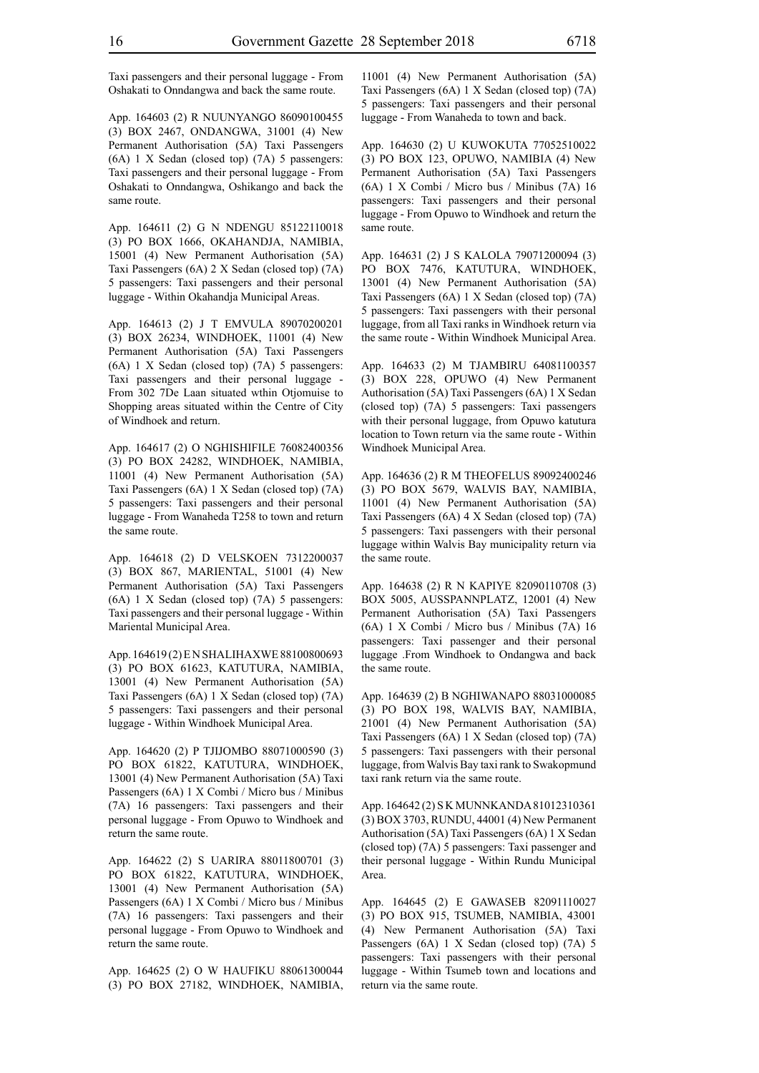Taxi passengers and their personal luggage - From Oshakati to Onndangwa and back the same route.

App. 164603 (2) R NUUNYANGO 86090100455 (3) BOX 2467, ONDANGWA, 31001 (4) New Permanent Authorisation (5A) Taxi Passengers (6A) 1 X Sedan (closed top) (7A) 5 passengers: Taxi passengers and their personal luggage - From Oshakati to Onndangwa, Oshikango and back the same route.

App. 164611 (2) G N NDENGU 85122110018 (3) PO BOX 1666, OKAHANDJA, NAMIBIA, 15001 (4) New Permanent Authorisation (5A) Taxi Passengers (6A) 2 X Sedan (closed top) (7A) 5 passengers: Taxi passengers and their personal luggage - Within Okahandja Municipal Areas.

App. 164613 (2) J T EMVULA 89070200201 (3) BOX 26234, WINDHOEK, 11001 (4) New Permanent Authorisation (5A) Taxi Passengers (6A) 1 X Sedan (closed top) (7A) 5 passengers: Taxi passengers and their personal luggage - From 302 7De Laan situated wthin Otjomuise to Shopping areas situated within the Centre of City of Windhoek and return.

App. 164617 (2) O NGHISHIFILE 76082400356 (3) PO BOX 24282, WINDHOEK, NAMIBIA, 11001 (4) New Permanent Authorisation (5A) Taxi Passengers (6A) 1 X Sedan (closed top) (7A) 5 passengers: Taxi passengers and their personal luggage - From Wanaheda T258 to town and return the same route.

App. 164618 (2) D VELSKOEN 7312200037 (3) BOX 867, MARIENTAL, 51001 (4) New Permanent Authorisation (5A) Taxi Passengers (6A) 1 X Sedan (closed top) (7A) 5 passengers: Taxi passengers and their personal luggage - Within Mariental Municipal Area.

App. 164619 (2) E N SHALIHAXWE 88100800693 (3) PO BOX 61623, KATUTURA, NAMIBIA, 13001 (4) New Permanent Authorisation (5A) Taxi Passengers (6A) 1 X Sedan (closed top) (7A) 5 passengers: Taxi passengers and their personal luggage - Within Windhoek Municipal Area.

App. 164620 (2) P TJIJOMBO 88071000590 (3) PO BOX 61822, KATUTURA, WINDHOEK, 13001 (4) New Permanent Authorisation (5A) Taxi Passengers (6A) 1 X Combi / Micro bus / Minibus (7A) 16 passengers: Taxi passengers and their personal luggage - From Opuwo to Windhoek and return the same route.

App. 164622 (2) S UARIRA 88011800701 (3) PO BOX 61822, KATUTURA, WINDHOEK, 13001 (4) New Permanent Authorisation (5A) Passengers (6A) 1 X Combi / Micro bus / Minibus (7A) 16 passengers: Taxi passengers and their personal luggage - From Opuwo to Windhoek and return the same route.

App. 164625 (2) O W HAUFIKU 88061300044 (3) PO BOX 27182, WINDHOEK, NAMIBIA, 11001 (4) New Permanent Authorisation (5A) Taxi Passengers (6A) 1 X Sedan (closed top) (7A) 5 passengers: Taxi passengers and their personal luggage - From Wanaheda to town and back.

App. 164630 (2) U KUWOKUTA 77052510022 (3) PO BOX 123, OPUWO, NAMIBIA (4) New Permanent Authorisation (5A) Taxi Passengers (6A) 1 X Combi / Micro bus / Minibus (7A) 16 passengers: Taxi passengers and their personal luggage - From Opuwo to Windhoek and return the same route.

App. 164631 (2) J S KALOLA 79071200094 (3) PO BOX 7476, KATUTURA, WINDHOEK, 13001 (4) New Permanent Authorisation (5A) Taxi Passengers (6A) 1 X Sedan (closed top) (7A) 5 passengers: Taxi passengers with their personal luggage, from all Taxi ranks in Windhoek return via the same route - Within Windhoek Municipal Area.

App. 164633 (2) M TJAMBIRU 64081100357 (3) BOX 228, OPUWO (4) New Permanent Authorisation (5A) Taxi Passengers (6A) 1 X Sedan (closed top) (7A) 5 passengers: Taxi passengers with their personal luggage, from Opuwo katutura location to Town return via the same route - Within Windhoek Municipal Area.

App. 164636 (2) R M THEOFELUS 89092400246 (3) PO BOX 5679, WALVIS BAY, NAMIBIA, 11001 (4) New Permanent Authorisation (5A) Taxi Passengers (6A) 4 X Sedan (closed top) (7A) 5 passengers: Taxi passengers with their personal luggage within Walvis Bay municipality return via the same route.

App. 164638 (2) R N KAPIYE 82090110708 (3) BOX 5005, AUSSPANNPLATZ, 12001 (4) New Permanent Authorisation (5A) Taxi Passengers (6A) 1 X Combi / Micro bus / Minibus (7A) 16 passengers: Taxi passenger and their personal luggage .From Windhoek to Ondangwa and back the same route.

App. 164639 (2) B NGHIWANAPO 88031000085 (3) PO BOX 198, WALVIS BAY, NAMIBIA, 21001 (4) New Permanent Authorisation (5A) Taxi Passengers (6A) 1 X Sedan (closed top) (7A) 5 passengers: Taxi passengers with their personal luggage, from Walvis Bay taxi rank to Swakopmund taxi rank return via the same route.

App. 164642 (2) S K MUNNKANDA 81012310361 (3) BOX 3703, RUNDU, 44001 (4) New Permanent Authorisation (5A) Taxi Passengers (6A) 1 X Sedan (closed top) (7A) 5 passengers: Taxi passenger and their personal luggage - Within Rundu Municipal Area.

App. 164645 (2) E GAWASEB 82091110027 (3) PO BOX 915, TSUMEB, NAMIBIA, 43001 (4) New Permanent Authorisation (5A) Taxi Passengers (6A) 1 X Sedan (closed top) (7A) 5 passengers: Taxi passengers with their personal luggage - Within Tsumeb town and locations and return via the same route.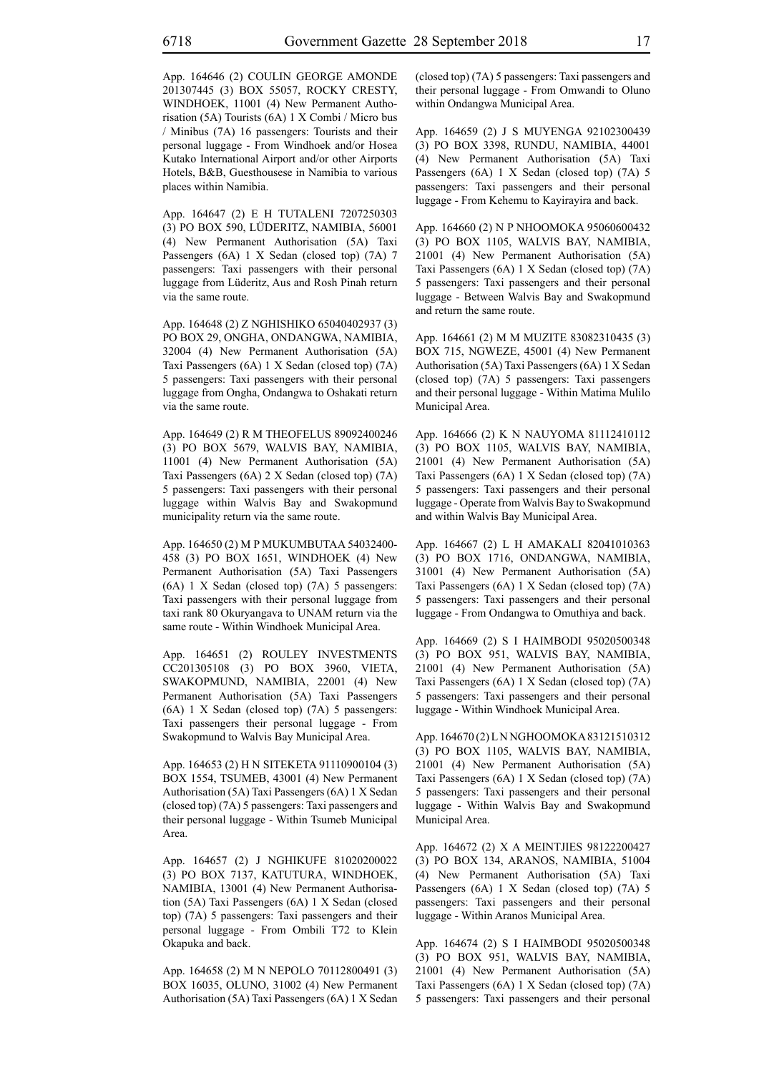App. 164646 (2) COULIN GEORGE AMONDE 201307445 (3) BOX 55057, ROCKY CRESTY, WINDHOEK, 11001 (4) New Permanent Authorisation (5A) Tourists (6A) 1 X Combi / Micro bus / Minibus (7A) 16 passengers: Tourists and their personal luggage - From Windhoek and/or Hosea Kutako International Airport and/or other Airports Hotels, B&B, Guesthousese in Namibia to various places within Namibia.

App. 164647 (2) E H TUTALENI 7207250303 (3) PO BOX 590, LÜDERITZ, NAMIBIA, 56001 (4) New Permanent Authorisation (5A) Taxi Passengers (6A) 1 X Sedan (closed top) (7A) 7 passengers: Taxi passengers with their personal luggage from Lüderitz, Aus and Rosh Pinah return via the same route.

App. 164648 (2) Z NGHISHIKO 65040402937 (3) PO BOX 29, ONGHA, ONDANGWA, NAMIBIA, 32004 (4) New Permanent Authorisation (5A) Taxi Passengers (6A) 1 X Sedan (closed top) (7A) 5 passengers: Taxi passengers with their personal luggage from Ongha, Ondangwa to Oshakati return via the same route.

App. 164649 (2) R M THEOFELUS 89092400246 (3) PO BOX 5679, WALVIS BAY, NAMIBIA, 11001 (4) New Permanent Authorisation (5A) Taxi Passengers (6A) 2 X Sedan (closed top) (7A) 5 passengers: Taxi passengers with their personal luggage within Walvis Bay and Swakopmund municipality return via the same route.

App. 164650 (2) M P MUKUMBUTAA 54032400- 458 (3) PO BOX 1651, WINDHOEK (4) New Permanent Authorisation (5A) Taxi Passengers (6A) 1 X Sedan (closed top) (7A) 5 passengers: Taxi passengers with their personal luggage from taxi rank 80 Okuryangava to UNAM return via the same route - Within Windhoek Municipal Area.

App. 164651 (2) ROULEY INVESTMENTS CC201305108 (3) PO BOX 3960, VIETA, SWAKOPMUND, NAMIBIA, 22001 (4) New Permanent Authorisation (5A) Taxi Passengers (6A) 1 X Sedan (closed top) (7A) 5 passengers: Taxi passengers their personal luggage - From Swakopmund to Walvis Bay Municipal Area.

App. 164653 (2) H N SITEKETA 91110900104 (3) BOX 1554, TSUMEB, 43001 (4) New Permanent Authorisation (5A) Taxi Passengers (6A) 1 X Sedan (closed top) (7A) 5 passengers: Taxi passengers and their personal luggage - Within Tsumeb Municipal Area.

App. 164657 (2) J NGHIKUFE 81020200022 (3) PO BOX 7137, KATUTURA, WINDHOEK, NAMIBIA, 13001 (4) New Permanent Authorisation (5A) Taxi Passengers (6A) 1 X Sedan (closed top) (7A) 5 passengers: Taxi passengers and their personal luggage - From Ombili T72 to Klein Okapuka and back.

App. 164658 (2) M N NEPOLO 70112800491 (3) BOX 16035, OLUNO, 31002 (4) New Permanent Authorisation (5A) Taxi Passengers (6A) 1 X Sedan (closed top) (7A) 5 passengers: Taxi passengers and their personal luggage - From Omwandi to Oluno within Ondangwa Municipal Area.

App. 164659 (2) J S MUYENGA 92102300439 (3) PO BOX 3398, RUNDU, NAMIBIA, 44001 (4) New Permanent Authorisation (5A) Taxi Passengers (6A) 1 X Sedan (closed top) (7A) 5 passengers: Taxi passengers and their personal luggage - From Kehemu to Kayirayira and back.

App. 164660 (2) N P NHOOMOKA 95060600432 (3) PO BOX 1105, WALVIS BAY, NAMIBIA, 21001 (4) New Permanent Authorisation (5A) Taxi Passengers (6A) 1 X Sedan (closed top) (7A) 5 passengers: Taxi passengers and their personal luggage - Between Walvis Bay and Swakopmund and return the same route.

App. 164661 (2) M M MUZITE 83082310435 (3) BOX 715, NGWEZE, 45001 (4) New Permanent Authorisation (5A) Taxi Passengers (6A) 1 X Sedan (closed top) (7A) 5 passengers: Taxi passengers and their personal luggage - Within Matima Mulilo Municipal Area.

App. 164666 (2) K N NAUYOMA 81112410112 (3) PO BOX 1105, WALVIS BAY, NAMIBIA, 21001 (4) New Permanent Authorisation (5A) Taxi Passengers (6A) 1 X Sedan (closed top) (7A) 5 passengers: Taxi passengers and their personal luggage - Operate from Walvis Bay to Swakopmund and within Walvis Bay Municipal Area.

App. 164667 (2) L H AMAKALI 82041010363 (3) PO BOX 1716, ONDANGWA, NAMIBIA, 31001 (4) New Permanent Authorisation (5A) Taxi Passengers (6A) 1 X Sedan (closed top) (7A) 5 passengers: Taxi passengers and their personal luggage - From Ondangwa to Omuthiya and back.

App. 164669 (2) S I HAIMBODI 95020500348 (3) PO BOX 951, WALVIS BAY, NAMIBIA, 21001 (4) New Permanent Authorisation (5A) Taxi Passengers (6A) 1 X Sedan (closed top) (7A) 5 passengers: Taxi passengers and their personal luggage - Within Windhoek Municipal Area.

App. 164670 (2) L N NGHOOMOKA 83121510312 (3) PO BOX 1105, WALVIS BAY, NAMIBIA, 21001 (4) New Permanent Authorisation (5A) Taxi Passengers (6A) 1 X Sedan (closed top) (7A) 5 passengers: Taxi passengers and their personal luggage - Within Walvis Bay and Swakopmund Municipal Area.

App. 164672 (2) X A MEINTJIES 98122200427 (3) PO BOX 134, ARANOS, NAMIBIA, 51004 (4) New Permanent Authorisation (5A) Taxi Passengers (6A) 1 X Sedan (closed top) (7A) 5 passengers: Taxi passengers and their personal luggage - Within Aranos Municipal Area.

App. 164674 (2) S I HAIMBODI 95020500348 (3) PO BOX 951, WALVIS BAY, NAMIBIA, 21001 (4) New Permanent Authorisation (5A) Taxi Passengers (6A) 1 X Sedan (closed top) (7A) 5 passengers: Taxi passengers and their personal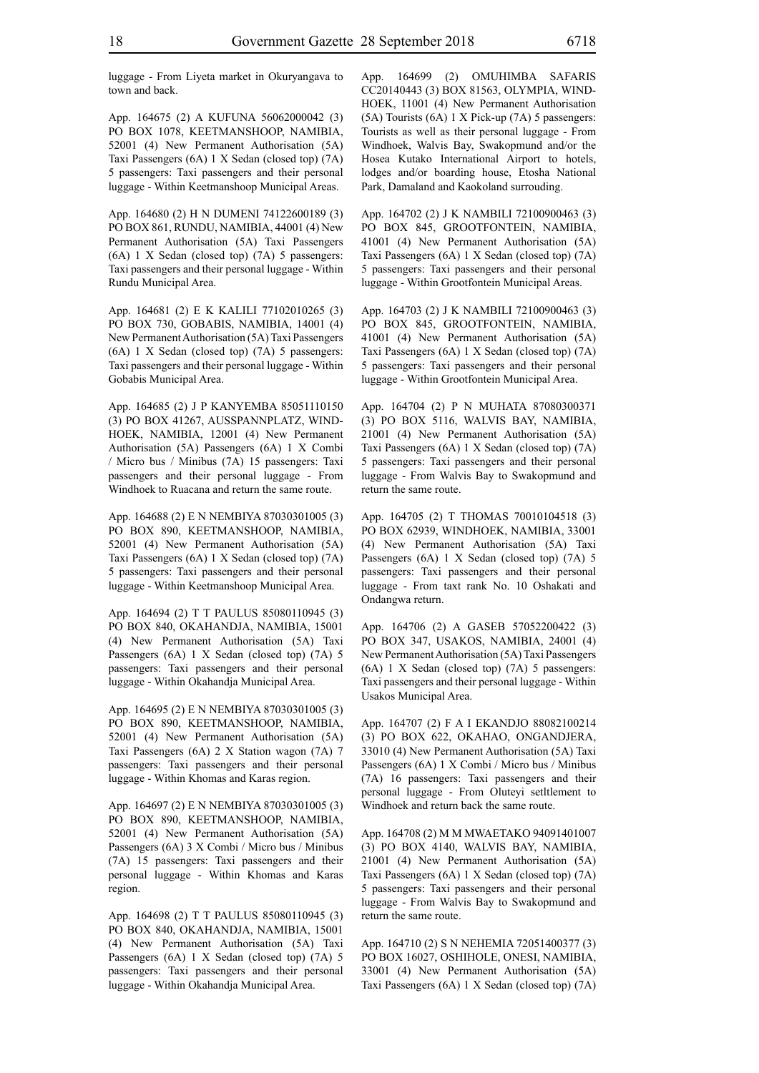luggage - From Liyeta market in Okuryangava to town and back.

App. 164675 (2) A KUFUNA 56062000042 (3) PO BOX 1078, KEETMANSHOOP, NAMIBIA, 52001 (4) New Permanent Authorisation (5A) Taxi Passengers (6A) 1 X Sedan (closed top) (7A) 5 passengers: Taxi passengers and their personal luggage - Within Keetmanshoop Municipal Areas.

App. 164680 (2) H N DUMENI 74122600189 (3) PO BOX 861, RUNDU, NAMIBIA, 44001 (4) New Permanent Authorisation (5A) Taxi Passengers (6A) 1 X Sedan (closed top) (7A) 5 passengers: Taxi passengers and their personal luggage - Within Rundu Municipal Area.

App. 164681 (2) E K KALILI 77102010265 (3) PO BOX 730, GOBABIS, NAMIBIA, 14001 (4) New Permanent Authorisation (5A) Taxi Passengers (6A) 1 X Sedan (closed top) (7A) 5 passengers: Taxi passengers and their personal luggage - Within Gobabis Municipal Area.

App. 164685 (2) J P KANYEMBA 85051110150 (3) PO BOX 41267, AUSSPANNPLATZ, WIND-HOEK, NAMIBIA, 12001 (4) New Permanent Authorisation (5A) Passengers (6A) 1 X Combi / Micro bus / Minibus (7A) 15 passengers: Taxi passengers and their personal luggage - From Windhoek to Ruacana and return the same route.

App. 164688 (2) E N NEMBIYA 87030301005 (3) PO BOX 890, KEETMANSHOOP, NAMIBIA, 52001 (4) New Permanent Authorisation (5A) Taxi Passengers (6A) 1 X Sedan (closed top) (7A) 5 passengers: Taxi passengers and their personal luggage - Within Keetmanshoop Municipal Area.

App. 164694 (2) T T PAULUS 85080110945 (3) PO BOX 840, OKAHANDJA, NAMIBIA, 15001 (4) New Permanent Authorisation (5A) Taxi Passengers (6A) 1 X Sedan (closed top) (7A) 5 passengers: Taxi passengers and their personal luggage - Within Okahandja Municipal Area.

App. 164695 (2) E N NEMBIYA 87030301005 (3) PO BOX 890, KEETMANSHOOP, NAMIBIA, 52001 (4) New Permanent Authorisation (5A) Taxi Passengers (6A) 2 X Station wagon (7A) 7 passengers: Taxi passengers and their personal luggage - Within Khomas and Karas region.

App. 164697 (2) E N NEMBIYA 87030301005 (3) PO BOX 890, KEETMANSHOOP, NAMIBIA, 52001 (4) New Permanent Authorisation (5A) Passengers (6A) 3 X Combi / Micro bus / Minibus (7A) 15 passengers: Taxi passengers and their personal luggage - Within Khomas and Karas region.

App. 164698 (2) T T PAULUS 85080110945 (3) PO BOX 840, OKAHANDJA, NAMIBIA, 15001 (4) New Permanent Authorisation (5A) Taxi Passengers (6A) 1 X Sedan (closed top) (7A) 5 passengers: Taxi passengers and their personal luggage - Within Okahandja Municipal Area.

App. 164699 (2) OMUHIMBA SAFARIS CC20140443 (3) BOX 81563, OLYMPIA, WIND-HOEK, 11001 (4) New Permanent Authorisation (5A) Tourists (6A) 1 X Pick-up (7A) 5 passengers: Tourists as well as their personal luggage - From Windhoek, Walvis Bay, Swakopmund and/or the Hosea Kutako International Airport to hotels, lodges and/or boarding house, Etosha National Park, Damaland and Kaokoland surrouding.

App. 164702 (2) J K NAMBILI 72100900463 (3) PO BOX 845, GROOTFONTEIN, NAMIBIA, 41001 (4) New Permanent Authorisation (5A) Taxi Passengers (6A) 1 X Sedan (closed top) (7A) 5 passengers: Taxi passengers and their personal luggage - Within Grootfontein Municipal Areas.

App. 164703 (2) J K NAMBILI 72100900463 (3) PO BOX 845, GROOTFONTEIN, NAMIBIA, 41001 (4) New Permanent Authorisation (5A) Taxi Passengers (6A) 1 X Sedan (closed top) (7A) 5 passengers: Taxi passengers and their personal luggage - Within Grootfontein Municipal Area.

App. 164704 (2) P N MUHATA 87080300371 (3) PO BOX 5116, WALVIS BAY, NAMIBIA, 21001 (4) New Permanent Authorisation (5A) Taxi Passengers (6A) 1 X Sedan (closed top) (7A) 5 passengers: Taxi passengers and their personal luggage - From Walvis Bay to Swakopmund and return the same route.

App. 164705 (2) T THOMAS 70010104518 (3) PO BOX 62939, WINDHOEK, NAMIBIA, 33001 (4) New Permanent Authorisation (5A) Taxi Passengers (6A) 1 X Sedan (closed top) (7A) 5 passengers: Taxi passengers and their personal luggage - From taxt rank No. 10 Oshakati and Ondangwa return.

App. 164706 (2) A GASEB 57052200422 (3) PO BOX 347, USAKOS, NAMIBIA, 24001 (4) New Permanent Authorisation (5A) Taxi Passengers (6A) 1 X Sedan (closed top) (7A) 5 passengers: Taxi passengers and their personal luggage - Within Usakos Municipal Area.

App. 164707 (2) F A I EKANDJO 88082100214 (3) PO BOX 622, OKAHAO, ONGANDJERA, 33010 (4) New Permanent Authorisation (5A) Taxi Passengers (6A) 1 X Combi / Micro bus / Minibus (7A) 16 passengers: Taxi passengers and their personal luggage - From Oluteyi setltlement to Windhoek and return back the same route.

App. 164708 (2) M M MWAETAKO 94091401007 (3) PO BOX 4140, WALVIS BAY, NAMIBIA, 21001 (4) New Permanent Authorisation (5A) Taxi Passengers (6A) 1 X Sedan (closed top) (7A) 5 passengers: Taxi passengers and their personal luggage - From Walvis Bay to Swakopmund and return the same route.

App. 164710 (2) S N NEHEMIA 72051400377 (3) PO BOX 16027, OSHIHOLE, ONESI, NAMIBIA, 33001 (4) New Permanent Authorisation (5A) Taxi Passengers (6A) 1 X Sedan (closed top) (7A)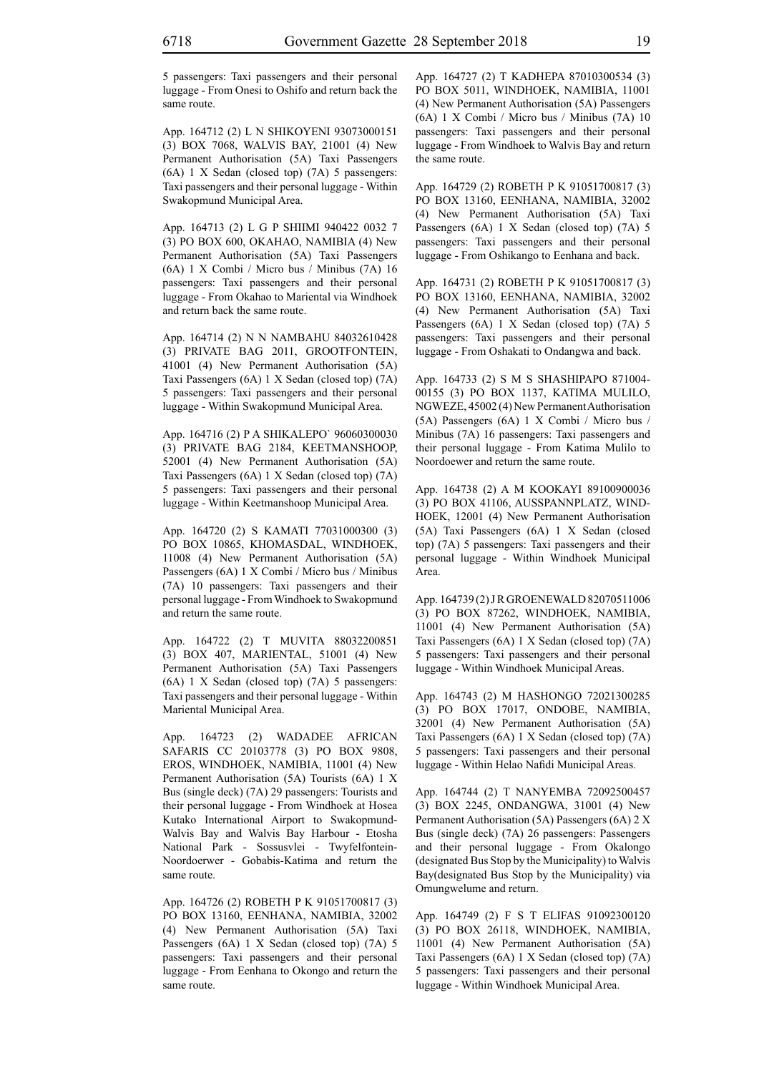5 passengers: Taxi passengers and their personal luggage - From Onesi to Oshifo and return back the same route.

App. 164712 (2) L N SHIKOYENI 93073000151 (3) BOX 7068, WALVIS BAY, 21001 (4) New Permanent Authorisation (5A) Taxi Passengers (6A) 1 X Sedan (closed top) (7A) 5 passengers: Taxi passengers and their personal luggage - Within Swakopmund Municipal Area.

App. 164713 (2) L G P SHIIMI 940422 0032 7 (3) PO BOX 600, OKAHAO, NAMIBIA (4) New Permanent Authorisation (5A) Taxi Passengers (6A) 1 X Combi / Micro bus / Minibus (7A) 16 passengers: Taxi passengers and their personal luggage - From Okahao to Mariental via Windhoek and return back the same route.

App. 164714 (2) N N NAMBAHU 84032610428 (3) PRIVATE BAG 2011, GROOTFONTEIN, 41001 (4) New Permanent Authorisation (5A) Taxi Passengers (6A) 1 X Sedan (closed top) (7A) 5 passengers: Taxi passengers and their personal luggage - Within Swakopmund Municipal Area.

App. 164716 (2) P A SHIKALEPO` 96060300030 (3) PRIVATE BAG 2184, KEETMANSHOOP, 52001 (4) New Permanent Authorisation (5A) Taxi Passengers (6A) 1 X Sedan (closed top) (7A) 5 passengers: Taxi passengers and their personal luggage - Within Keetmanshoop Municipal Area.

App. 164720 (2) S KAMATI 77031000300 (3) PO BOX 10865, KHOMASDAL, WINDHOEK, 11008 (4) New Permanent Authorisation (5A) Passengers (6A) 1 X Combi / Micro bus / Minibus (7A) 10 passengers: Taxi passengers and their personal luggage - From Windhoek to Swakopmund and return the same route.

App. 164722 (2) T MUVITA 88032200851 (3) BOX 407, MARIENTAL, 51001 (4) New Permanent Authorisation (5A) Taxi Passengers (6A) 1 X Sedan (closed top) (7A) 5 passengers: Taxi passengers and their personal luggage - Within Mariental Municipal Area.

App. 164723 (2) WADADEE AFRICAN SAFARIS CC 20103778 (3) PO BOX 9808, EROS, WINDHOEK, NAMIBIA, 11001 (4) New Permanent Authorisation (5A) Tourists (6A) 1 X Bus (single deck) (7A) 29 passengers: Tourists and their personal luggage - From Windhoek at Hosea Kutako International Airport to Swakopmund-Walvis Bay and Walvis Bay Harbour - Etosha National Park - Sossusvlei - Twyfelfontein-Noordoerwer - Gobabis-Katima and return the same route.

App. 164726 (2) ROBETH P K 91051700817 (3) PO BOX 13160, EENHANA, NAMIBIA, 32002 (4) New Permanent Authorisation (5A) Taxi Passengers (6A) 1 X Sedan (closed top) (7A) 5 passengers: Taxi passengers and their personal luggage - From Eenhana to Okongo and return the same route.

App. 164727 (2) T KADHEPA 87010300534 (3) PO BOX 5011, WINDHOEK, NAMIBIA, 11001 (4) New Permanent Authorisation (5A) Passengers (6A) 1 X Combi / Micro bus / Minibus (7A) 10 passengers: Taxi passengers and their personal luggage - From Windhoek to Walvis Bay and return the same route.

App. 164729 (2) ROBETH P K 91051700817 (3) PO BOX 13160, EENHANA, NAMIBIA, 32002 (4) New Permanent Authorisation (5A) Taxi Passengers (6A) 1 X Sedan (closed top) (7A) 5 passengers: Taxi passengers and their personal luggage - From Oshikango to Eenhana and back.

App. 164731 (2) ROBETH P K 91051700817 (3) PO BOX 13160, EENHANA, NAMIBIA, 32002 (4) New Permanent Authorisation (5A) Taxi Passengers (6A) 1 X Sedan (closed top) (7A) 5 passengers: Taxi passengers and their personal luggage - From Oshakati to Ondangwa and back.

App. 164733 (2) S M S SHASHIPAPO 871004- 00155 (3) PO BOX 1137, KATIMA MULILO, NGWEZE, 45002 (4) New Permanent Authorisation (5A) Passengers (6A) 1 X Combi / Micro bus / Minibus (7A) 16 passengers: Taxi passengers and their personal luggage - From Katima Mulilo to Noordoewer and return the same route.

App. 164738 (2) A M KOOKAYI 89100900036 (3) PO BOX 41106, AUSSPANNPLATZ, WIND-HOEK, 12001 (4) New Permanent Authorisation (5A) Taxi Passengers (6A) 1 X Sedan (closed top) (7A) 5 passengers: Taxi passengers and their personal luggage - Within Windhoek Municipal Area.

App. 164739 (2) J R GROENEWALD 82070511006 (3) PO BOX 87262, WINDHOEK, NAMIBIA, 11001 (4) New Permanent Authorisation (5A) Taxi Passengers (6A) 1 X Sedan (closed top) (7A) 5 passengers: Taxi passengers and their personal luggage - Within Windhoek Municipal Areas.

App. 164743 (2) M HASHONGO 72021300285 (3) PO BOX 17017, ONDOBE, NAMIBIA, 32001 (4) New Permanent Authorisation (5A) Taxi Passengers (6A) 1 X Sedan (closed top) (7A) 5 passengers: Taxi passengers and their personal luggage - Within Helao Nafidi Municipal Areas.

App. 164744 (2) T NANYEMBA 72092500457 (3) BOX 2245, ONDANGWA, 31001 (4) New Permanent Authorisation (5A) Passengers (6A) 2 X Bus (single deck) (7A) 26 passengers: Passengers and their personal luggage - From Okalongo (designated Bus Stop by the Municipality) to Walvis Bay(designated Bus Stop by the Municipality) via Omungwelume and return.

App. 164749 (2) F S T ELIFAS 91092300120 (3) PO BOX 26118, WINDHOEK, NAMIBIA, 11001 (4) New Permanent Authorisation (5A) Taxi Passengers (6A) 1 X Sedan (closed top) (7A) 5 passengers: Taxi passengers and their personal luggage - Within Windhoek Municipal Area.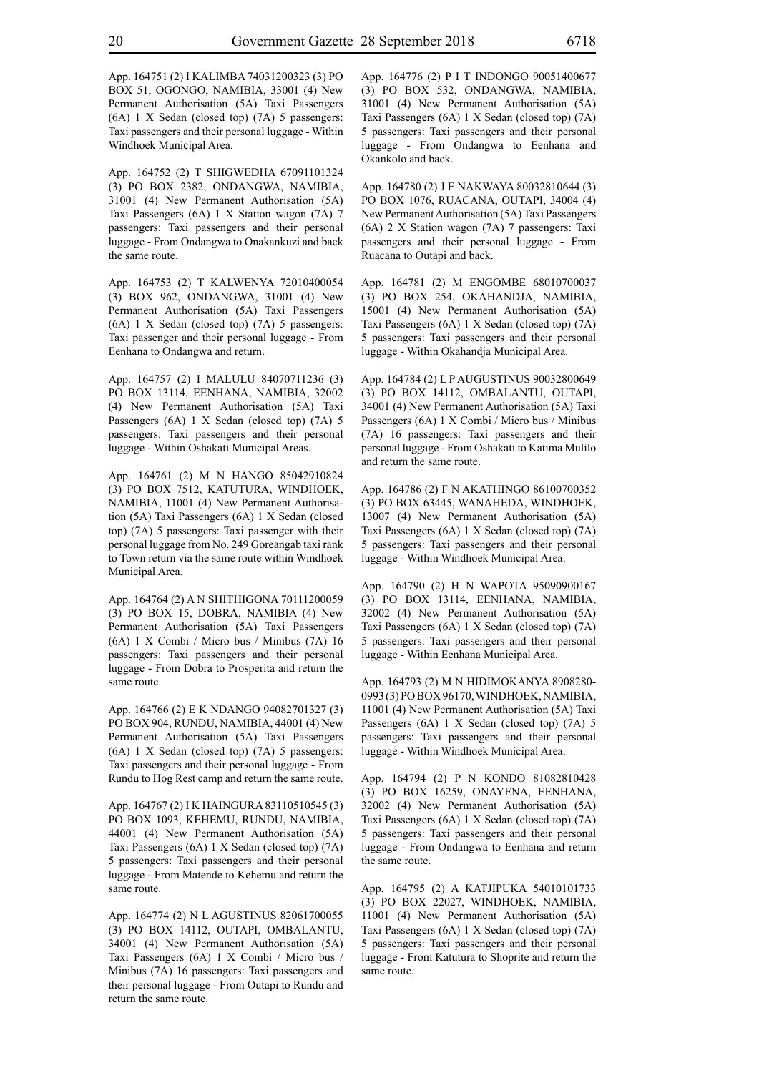App. 164751 (2) I KALIMBA 74031200323 (3) PO BOX 51, OGONGO, NAMIBIA, 33001 (4) New Permanent Authorisation (5A) Taxi Passengers (6A) 1 X Sedan (closed top) (7A) 5 passengers: Taxi passengers and their personal luggage - Within Windhoek Municipal Area.

App. 164752 (2) T SHIGWEDHA 67091101324 (3) PO BOX 2382, ONDANGWA, NAMIBIA, 31001 (4) New Permanent Authorisation (5A) Taxi Passengers (6A) 1 X Station wagon (7A) 7 passengers: Taxi passengers and their personal luggage - From Ondangwa to Onakankuzi and back the same route.

App. 164753 (2) T KALWENYA 72010400054 (3) BOX 962, ONDANGWA, 31001 (4) New Permanent Authorisation (5A) Taxi Passengers (6A) 1 X Sedan (closed top) (7A) 5 passengers: Taxi passenger and their personal luggage - From Eenhana to Ondangwa and return.

App. 164757 (2) I MALULU 84070711236 (3) PO BOX 13114, EENHANA, NAMIBIA, 32002 (4) New Permanent Authorisation (5A) Taxi Passengers (6A) 1 X Sedan (closed top) (7A) 5 passengers: Taxi passengers and their personal luggage - Within Oshakati Municipal Areas.

App. 164761 (2) M N HANGO 85042910824 (3) PO BOX 7512, KATUTURA, WINDHOEK, NAMIBIA, 11001 (4) New Permanent Authorisation (5A) Taxi Passengers (6A) 1 X Sedan (closed top) (7A) 5 passengers: Taxi passenger with their personal luggage from No. 249 Goreangab taxi rank to Town return via the same route within Windhoek Municipal Area.

App. 164764 (2) A N SHITHIGONA 70111200059 (3) PO BOX 15, DOBRA, NAMIBIA (4) New Permanent Authorisation (5A) Taxi Passengers (6A) 1 X Combi / Micro bus / Minibus (7A) 16 passengers: Taxi passengers and their personal luggage - From Dobra to Prosperita and return the same route.

App. 164766 (2) E K NDANGO 94082701327 (3) PO BOX 904, RUNDU, NAMIBIA, 44001 (4) New Permanent Authorisation (5A) Taxi Passengers (6A) 1 X Sedan (closed top) (7A) 5 passengers: Taxi passengers and their personal luggage - From Rundu to Hog Rest camp and return the same route.

App. 164767 (2) I K HAINGURA 83110510545 (3) PO BOX 1093, KEHEMU, RUNDU, NAMIBIA, 44001 (4) New Permanent Authorisation (5A) Taxi Passengers (6A) 1 X Sedan (closed top) (7A) 5 passengers: Taxi passengers and their personal luggage - From Matende to Kehemu and return the same route.

App. 164774 (2) N L AGUSTINUS 82061700055 (3) PO BOX 14112, OUTAPI, OMBALANTU, 34001 (4) New Permanent Authorisation (5A) Taxi Passengers (6A) 1 X Combi / Micro bus / Minibus (7A) 16 passengers: Taxi passengers and their personal luggage - From Outapi to Rundu and return the same route.

App. 164776 (2) P I T INDONGO 90051400677 (3) PO BOX 532, ONDANGWA, NAMIBIA, 31001 (4) New Permanent Authorisation (5A) Taxi Passengers (6A) 1 X Sedan (closed top) (7A) 5 passengers: Taxi passengers and their personal luggage - From Ondangwa to Eenhana and Okankolo and back.

App. 164780 (2) J E NAKWAYA 80032810644 (3) PO BOX 1076, RUACANA, OUTAPI, 34004 (4) New Permanent Authorisation (5A) Taxi Passengers (6A) 2 X Station wagon (7A) 7 passengers: Taxi passengers and their personal luggage - From Ruacana to Outapi and back.

App. 164781 (2) M ENGOMBE 68010700037 (3) PO BOX 254, OKAHANDJA, NAMIBIA, 15001 (4) New Permanent Authorisation (5A) Taxi Passengers (6A) 1 X Sedan (closed top) (7A) 5 passengers: Taxi passengers and their personal luggage - Within Okahandja Municipal Area.

App. 164784 (2) L P AUGUSTINUS 90032800649 (3) PO BOX 14112, OMBALANTU, OUTAPI, 34001 (4) New Permanent Authorisation (5A) Taxi Passengers (6A) 1 X Combi / Micro bus / Minibus (7A) 16 passengers: Taxi passengers and their personal luggage - From Oshakati to Katima Mulilo and return the same route.

App. 164786 (2) F N AKATHINGO 86100700352 (3) PO BOX 63445, WANAHEDA, WINDHOEK, 13007 (4) New Permanent Authorisation (5A) Taxi Passengers (6A) 1 X Sedan (closed top) (7A) 5 passengers: Taxi passengers and their personal luggage - Within Windhoek Municipal Area.

App. 164790 (2) H N WAPOTA 95090900167 (3) PO BOX 13114, EENHANA, NAMIBIA, 32002 (4) New Permanent Authorisation (5A) Taxi Passengers (6A) 1 X Sedan (closed top) (7A) 5 passengers: Taxi passengers and their personal luggage - Within Eenhana Municipal Area.

App. 164793 (2) M N HIDIMOKANYA 8908280- 0993 (3) PO BOX 96170, WINDHOEK, NAMIBIA, 11001 (4) New Permanent Authorisation (5A) Taxi Passengers (6A) 1 X Sedan (closed top) (7A) 5 passengers: Taxi passengers and their personal luggage - Within Windhoek Municipal Area.

App. 164794 (2) P N KONDO 81082810428 (3) PO BOX 16259, ONAYENA, EENHANA, 32002 (4) New Permanent Authorisation (5A) Taxi Passengers (6A) 1 X Sedan (closed top) (7A) 5 passengers: Taxi passengers and their personal luggage - From Ondangwa to Eenhana and return the same route.

App. 164795 (2) A KATJIPUKA 54010101733 (3) PO BOX 22027, WINDHOEK, NAMIBIA, 11001 (4) New Permanent Authorisation (5A) Taxi Passengers (6A) 1 X Sedan (closed top) (7A) 5 passengers: Taxi passengers and their personal luggage - From Katutura to Shoprite and return the same route.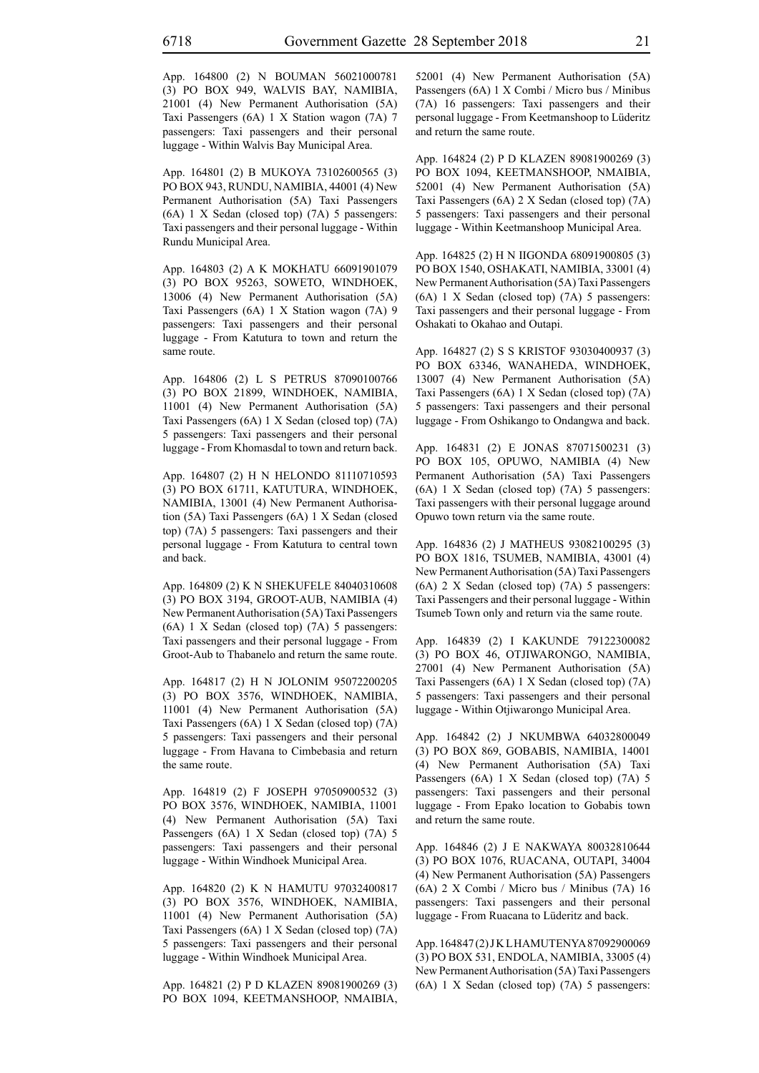App. 164800 (2) N BOUMAN 56021000781 (3) PO BOX 949, WALVIS BAY, NAMIBIA, 21001 (4) New Permanent Authorisation (5A) Taxi Passengers (6A) 1 X Station wagon (7A) 7 passengers: Taxi passengers and their personal luggage - Within Walvis Bay Municipal Area.

App. 164801 (2) B MUKOYA 73102600565 (3) PO BOX 943, RUNDU, NAMIBIA, 44001 (4) New Permanent Authorisation (5A) Taxi Passengers (6A) 1 X Sedan (closed top) (7A) 5 passengers: Taxi passengers and their personal luggage - Within Rundu Municipal Area.

App. 164803 (2) A K MOKHATU 66091901079 (3) PO BOX 95263, SOWETO, WINDHOEK, 13006 (4) New Permanent Authorisation (5A) Taxi Passengers (6A) 1 X Station wagon (7A) 9 passengers: Taxi passengers and their personal luggage - From Katutura to town and return the same route.

App. 164806 (2) L S PETRUS 87090100766 (3) PO BOX 21899, WINDHOEK, NAMIBIA, 11001 (4) New Permanent Authorisation (5A) Taxi Passengers (6A) 1 X Sedan (closed top) (7A) 5 passengers: Taxi passengers and their personal luggage - From Khomasdal to town and return back.

App. 164807 (2) H N HELONDO 81110710593 (3) PO BOX 61711, KATUTURA, WINDHOEK, NAMIBIA, 13001 (4) New Permanent Authorisation (5A) Taxi Passengers (6A) 1 X Sedan (closed top) (7A) 5 passengers: Taxi passengers and their personal luggage - From Katutura to central town and back.

App. 164809 (2) K N SHEKUFELE 84040310608 (3) PO BOX 3194, GROOT-AUB, NAMIBIA (4) New Permanent Authorisation (5A) Taxi Passengers (6A) 1 X Sedan (closed top) (7A) 5 passengers: Taxi passengers and their personal luggage - From Groot-Aub to Thabanelo and return the same route.

App. 164817 (2) H N JOLONIM 95072200205 (3) PO BOX 3576, WINDHOEK, NAMIBIA, 11001 (4) New Permanent Authorisation (5A) Taxi Passengers (6A) 1 X Sedan (closed top) (7A) 5 passengers: Taxi passengers and their personal luggage - From Havana to Cimbebasia and return the same route.

App. 164819 (2) F JOSEPH 97050900532 (3) PO BOX 3576, WINDHOEK, NAMIBIA, 11001 (4) New Permanent Authorisation (5A) Taxi Passengers (6A) 1 X Sedan (closed top) (7A) 5 passengers: Taxi passengers and their personal luggage - Within Windhoek Municipal Area.

App. 164820 (2) K N HAMUTU 97032400817 (3) PO BOX 3576, WINDHOEK, NAMIBIA, 11001 (4) New Permanent Authorisation (5A) Taxi Passengers (6A) 1 X Sedan (closed top) (7A) 5 passengers: Taxi passengers and their personal luggage - Within Windhoek Municipal Area.

App. 164821 (2) P D KLAZEN 89081900269 (3) PO BOX 1094, KEETMANSHOOP, NMAIBIA, 52001 (4) New Permanent Authorisation (5A) Passengers (6A) 1 X Combi / Micro bus / Minibus (7A) 16 passengers: Taxi passengers and their personal luggage - From Keetmanshoop to Lüderitz and return the same route.

App. 164824 (2) P D KLAZEN 89081900269 (3) PO BOX 1094, KEETMANSHOOP, NMAIBIA, 52001 (4) New Permanent Authorisation (5A) Taxi Passengers (6A) 2 X Sedan (closed top) (7A) 5 passengers: Taxi passengers and their personal luggage - Within Keetmanshoop Municipal Area.

App. 164825 (2) H N IIGONDA 68091900805 (3) PO BOX 1540, OSHAKATI, NAMIBIA, 33001 (4) New Permanent Authorisation (5A) Taxi Passengers (6A) 1 X Sedan (closed top) (7A) 5 passengers: Taxi passengers and their personal luggage - From Oshakati to Okahao and Outapi.

App. 164827 (2) S S KRISTOF 93030400937 (3) PO BOX 63346, WANAHEDA, WINDHOEK, 13007 (4) New Permanent Authorisation (5A) Taxi Passengers (6A) 1 X Sedan (closed top) (7A) 5 passengers: Taxi passengers and their personal luggage - From Oshikango to Ondangwa and back.

App. 164831 (2) E JONAS 87071500231 (3) PO BOX 105, OPUWO, NAMIBIA (4) New Permanent Authorisation (5A) Taxi Passengers (6A) 1 X Sedan (closed top) (7A) 5 passengers: Taxi passengers with their personal luggage around Opuwo town return via the same route.

App. 164836 (2) J MATHEUS 93082100295 (3) PO BOX 1816, TSUMEB, NAMIBIA, 43001 (4) New Permanent Authorisation (5A) Taxi Passengers (6A) 2 X Sedan (closed top) (7A) 5 passengers: Taxi Passengers and their personal luggage - Within Tsumeb Town only and return via the same route.

App. 164839 (2) I KAKUNDE 79122300082 (3) PO BOX 46, OTJIWARONGO, NAMIBIA, 27001 (4) New Permanent Authorisation (5A) Taxi Passengers (6A) 1 X Sedan (closed top) (7A) 5 passengers: Taxi passengers and their personal luggage - Within Otjiwarongo Municipal Area.

App. 164842 (2) J NKUMBWA 64032800049 (3) PO BOX 869, GOBABIS, NAMIBIA, 14001 (4) New Permanent Authorisation (5A) Taxi Passengers (6A) 1 X Sedan (closed top) (7A) 5 passengers: Taxi passengers and their personal luggage - From Epako location to Gobabis town and return the same route.

App. 164846 (2) J E NAKWAYA 80032810644 (3) PO BOX 1076, RUACANA, OUTAPI, 34004 (4) New Permanent Authorisation (5A) Passengers (6A) 2 X Combi / Micro bus / Minibus (7A) 16 passengers: Taxi passengers and their personal luggage - From Ruacana to Lüderitz and back.

App. 164847 (2) J K L HAMUTENYA 87092900069 (3) PO BOX 531, ENDOLA, NAMIBIA, 33005 (4) New Permanent Authorisation (5A) Taxi Passengers (6A) 1 X Sedan (closed top) (7A) 5 passengers: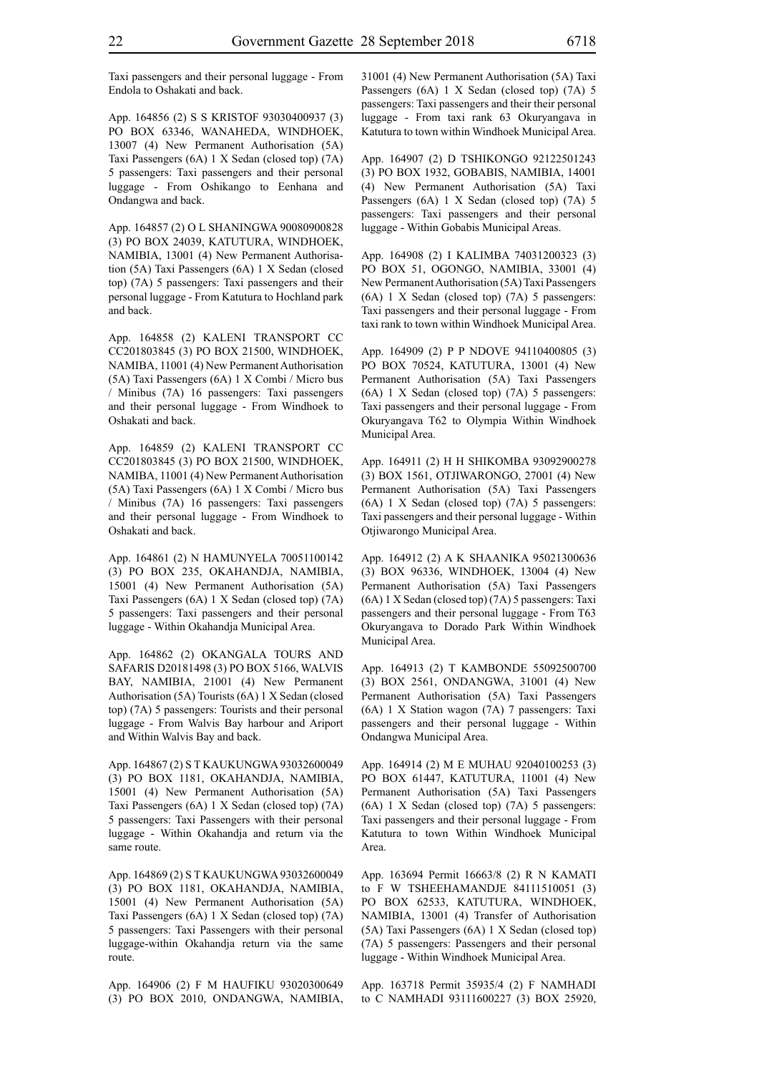Taxi passengers and their personal luggage - From Endola to Oshakati and back.

App. 164856 (2) S S KRISTOF 93030400937 (3) PO BOX 63346, WANAHEDA, WINDHOEK, 13007 (4) New Permanent Authorisation (5A) Taxi Passengers (6A) 1 X Sedan (closed top) (7A) 5 passengers: Taxi passengers and their personal luggage - From Oshikango to Eenhana and Ondangwa and back.

App. 164857 (2) O L SHANINGWA 90080900828 (3) PO BOX 24039, KATUTURA, WINDHOEK, NAMIBIA, 13001 (4) New Permanent Authorisation (5A) Taxi Passengers (6A) 1 X Sedan (closed top) (7A) 5 passengers: Taxi passengers and their personal luggage - From Katutura to Hochland park and back.

App. 164858 (2) KALENI TRANSPORT CC CC201803845 (3) PO BOX 21500, WINDHOEK, NAMIBA, 11001 (4) New Permanent Authorisation (5A) Taxi Passengers (6A) 1 X Combi / Micro bus / Minibus (7A) 16 passengers: Taxi passengers and their personal luggage - From Windhoek to Oshakati and back.

App. 164859 (2) KALENI TRANSPORT CC CC201803845 (3) PO BOX 21500, WINDHOEK, NAMIBA, 11001 (4) New Permanent Authorisation (5A) Taxi Passengers (6A) 1 X Combi / Micro bus / Minibus (7A) 16 passengers: Taxi passengers and their personal luggage - From Windhoek to Oshakati and back.

App. 164861 (2) N HAMUNYELA 70051100142 (3) PO BOX 235, OKAHANDJA, NAMIBIA, 15001 (4) New Permanent Authorisation (5A) Taxi Passengers (6A) 1 X Sedan (closed top) (7A) 5 passengers: Taxi passengers and their personal luggage - Within Okahandja Municipal Area.

App. 164862 (2) OKANGALA TOURS AND SAFARIS D20181498 (3) PO BOX 5166, WALVIS BAY, NAMIBIA, 21001 (4) New Permanent Authorisation (5A) Tourists (6A) 1 X Sedan (closed top) (7A) 5 passengers: Tourists and their personal luggage - From Walvis Bay harbour and Ariport and Within Walvis Bay and back.

App. 164867 (2) S T KAUKUNGWA 93032600049 (3) PO BOX 1181, OKAHANDJA, NAMIBIA, 15001 (4) New Permanent Authorisation (5A) Taxi Passengers (6A) 1 X Sedan (closed top) (7A) 5 passengers: Taxi Passengers with their personal luggage - Within Okahandja and return via the same route.

App. 164869 (2) S T KAUKUNGWA 93032600049 (3) PO BOX 1181, OKAHANDJA, NAMIBIA, 15001 (4) New Permanent Authorisation (5A) Taxi Passengers (6A) 1 X Sedan (closed top) (7A) 5 passengers: Taxi Passengers with their personal luggage-within Okahandja return via the same route.

App. 164906 (2) F M HAUFIKU 93020300649 (3) PO BOX 2010, ONDANGWA, NAMIBIA, 31001 (4) New Permanent Authorisation (5A) Taxi Passengers (6A) 1 X Sedan (closed top) (7A) 5 passengers: Taxi passengers and their their personal luggage - From taxi rank 63 Okuryangava in Katutura to town within Windhoek Municipal Area.

App. 164907 (2) D TSHIKONGO 92122501243 (3) PO BOX 1932, GOBABIS, NAMIBIA, 14001 (4) New Permanent Authorisation (5A) Taxi Passengers (6A) 1 X Sedan (closed top) (7A) 5 passengers: Taxi passengers and their personal luggage - Within Gobabis Municipal Areas.

App. 164908 (2) I KALIMBA 74031200323 (3) PO BOX 51, OGONGO, NAMIBIA, 33001 (4) New Permanent Authorisation (5A) Taxi Passengers (6A) 1 X Sedan (closed top) (7A) 5 passengers: Taxi passengers and their personal luggage - From taxi rank to town within Windhoek Municipal Area.

App. 164909 (2) P P NDOVE 94110400805 (3) PO BOX 70524, KATUTURA, 13001 (4) New Permanent Authorisation (5A) Taxi Passengers (6A) 1 X Sedan (closed top) (7A) 5 passengers: Taxi passengers and their personal luggage - From Okuryangava T62 to Olympia Within Windhoek Municipal Area.

App. 164911 (2) H H SHIKOMBA 93092900278 (3) BOX 1561, OTJIWARONGO, 27001 (4) New Permanent Authorisation (5A) Taxi Passengers (6A) 1 X Sedan (closed top) (7A) 5 passengers: Taxi passengers and their personal luggage - Within Otjiwarongo Municipal Area.

App. 164912 (2) A K SHAANIKA 95021300636 (3) BOX 96336, WINDHOEK, 13004 (4) New Permanent Authorisation (5A) Taxi Passengers (6A) 1 X Sedan (closed top) (7A) 5 passengers: Taxi passengers and their personal luggage - From T63 Okuryangava to Dorado Park Within Windhoek Municipal Area.

App. 164913 (2) T KAMBONDE 55092500700 (3) BOX 2561, ONDANGWA, 31001 (4) New Permanent Authorisation (5A) Taxi Passengers (6A) 1 X Station wagon (7A) 7 passengers: Taxi passengers and their personal luggage - Within Ondangwa Municipal Area.

App. 164914 (2) M E MUHAU 92040100253 (3) PO BOX 61447, KATUTURA, 11001 (4) New Permanent Authorisation (5A) Taxi Passengers (6A) 1 X Sedan (closed top) (7A) 5 passengers: Taxi passengers and their personal luggage - From Katutura to town Within Windhoek Municipal Area.

App. 163694 Permit 16663/8 (2) R N KAMATI to F W TSHEEHAMANDJE 84111510051 (3) PO BOX 62533, KATUTURA, WINDHOEK, NAMIBIA, 13001 (4) Transfer of Authorisation (5A) Taxi Passengers (6A) 1 X Sedan (closed top) (7A) 5 passengers: Passengers and their personal luggage - Within Windhoek Municipal Area.

App. 163718 Permit 35935/4 (2) F NAMHADI to C NAMHADI 93111600227 (3) BOX 25920,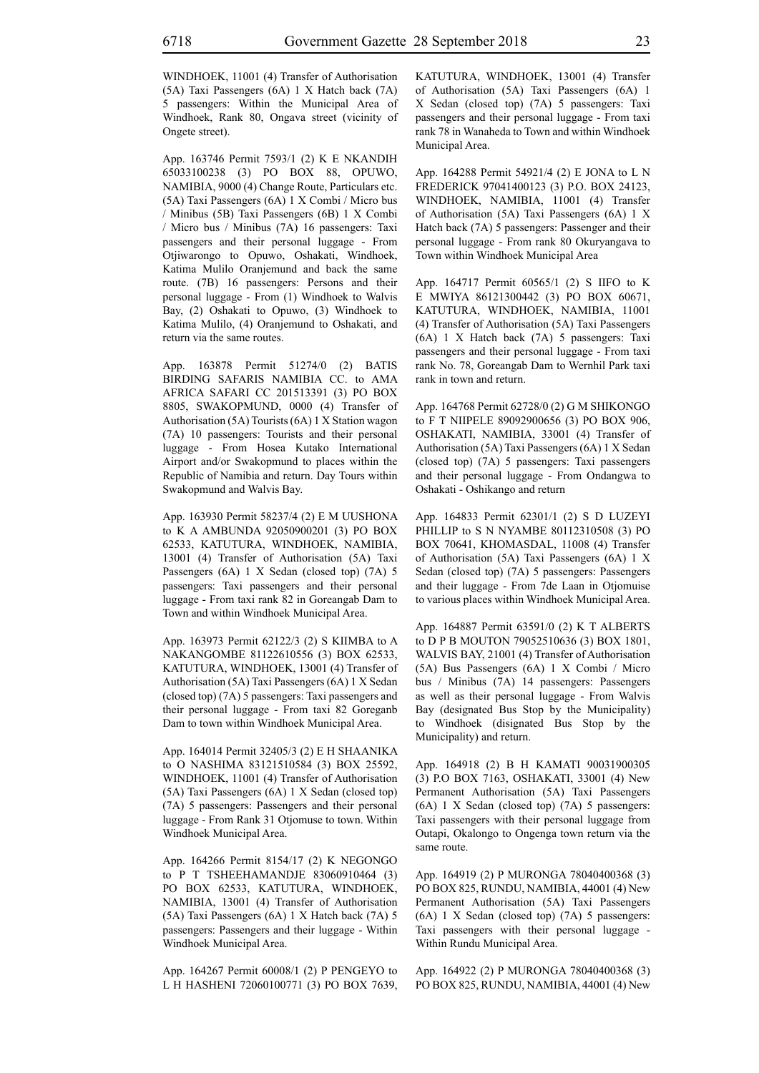WINDHOEK, 11001 (4) Transfer of Authorisation (5A) Taxi Passengers (6A) 1 X Hatch back (7A) 5 passengers: Within the Municipal Area of Windhoek, Rank 80, Ongava street (vicinity of Ongete street).

App. 163746 Permit 7593/1 (2) K E NKANDIH 65033100238 (3) PO BOX 88, OPUWO, NAMIBIA, 9000 (4) Change Route, Particulars etc. (5A) Taxi Passengers (6A) 1 X Combi / Micro bus / Minibus (5B) Taxi Passengers (6B) 1 X Combi / Micro bus / Minibus (7A) 16 passengers: Taxi passengers and their personal luggage - From Otjiwarongo to Opuwo, Oshakati, Windhoek, Katima Mulilo Oranjemund and back the same route. (7B) 16 passengers: Persons and their personal luggage - From (1) Windhoek to Walvis Bay, (2) Oshakati to Opuwo, (3) Windhoek to Katima Mulilo, (4) Oranjemund to Oshakati, and return via the same routes.

App. 163878 Permit 51274/0 (2) BATIS BIRDING SAFARIS NAMIBIA CC. to AMA AFRICA SAFARI CC 201513391 (3) PO BOX 8805, SWAKOPMUND, 0000 (4) Transfer of Authorisation (5A) Tourists (6A) 1 X Station wagon (7A) 10 passengers: Tourists and their personal luggage - From Hosea Kutako International Airport and/or Swakopmund to places within the Republic of Namibia and return. Day Tours within Swakopmund and Walvis Bay.

App. 163930 Permit 58237/4 (2) E M UUSHONA to K A AMBUNDA 92050900201 (3) PO BOX 62533, KATUTURA, WINDHOEK, NAMIBIA, 13001 (4) Transfer of Authorisation (5A) Taxi Passengers (6A) 1 X Sedan (closed top) (7A) 5 passengers: Taxi passengers and their personal luggage - From taxi rank 82 in Goreangab Dam to Town and within Windhoek Municipal Area.

App. 163973 Permit 62122/3 (2) S KIIMBA to A NAKANGOMBE 81122610556 (3) BOX 62533, KATUTURA, WINDHOEK, 13001 (4) Transfer of Authorisation (5A) Taxi Passengers (6A) 1 X Sedan (closed top) (7A) 5 passengers: Taxi passengers and their personal luggage - From taxi 82 Goreganb Dam to town within Windhoek Municipal Area.

App. 164014 Permit 32405/3 (2) E H SHAANIKA to O NASHIMA 83121510584 (3) BOX 25592, WINDHOEK, 11001 (4) Transfer of Authorisation (5A) Taxi Passengers (6A) 1 X Sedan (closed top) (7A) 5 passengers: Passengers and their personal luggage - From Rank 31 Otjomuse to town. Within Windhoek Municipal Area.

App. 164266 Permit 8154/17 (2) K NEGONGO to P T TSHEEHAMANDJE 83060910464 (3) PO BOX 62533, KATUTURA, WINDHOEK, NAMIBIA, 13001 (4) Transfer of Authorisation (5A) Taxi Passengers (6A) 1 X Hatch back (7A) 5 passengers: Passengers and their luggage - Within Windhoek Municipal Area.

App. 164267 Permit 60008/1 (2) P PENGEYO to L H HASHENI 72060100771 (3) PO BOX 7639, KATUTURA, WINDHOEK, 13001 (4) Transfer of Authorisation (5A) Taxi Passengers (6A) 1 X Sedan (closed top) (7A) 5 passengers: Taxi passengers and their personal luggage - From taxi rank 78 in Wanaheda to Town and within Windhoek Municipal Area.

App. 164288 Permit 54921/4 (2) E JONA to L N FREDERICK 97041400123 (3) P.O. BOX 24123, WINDHOEK, NAMIBIA, 11001 (4) Transfer of Authorisation (5A) Taxi Passengers (6A) 1 X Hatch back (7A) 5 passengers: Passenger and their personal luggage - From rank 80 Okuryangava to Town within Windhoek Municipal Area

App. 164717 Permit 60565/1 (2) S IIFO to K E MWIYA 86121300442 (3) PO BOX 60671, KATUTURA, WINDHOEK, NAMIBIA, 11001 (4) Transfer of Authorisation (5A) Taxi Passengers (6A) 1 X Hatch back (7A) 5 passengers: Taxi passengers and their personal luggage - From taxi rank No. 78, Goreangab Dam to Wernhil Park taxi rank in town and return.

App. 164768 Permit 62728/0 (2) G M SHIKONGO to F T NIIPELE 89092900656 (3) PO BOX 906, OSHAKATI, NAMIBIA, 33001 (4) Transfer of Authorisation (5A) Taxi Passengers (6A) 1 X Sedan (closed top) (7A) 5 passengers: Taxi passengers and their personal luggage - From Ondangwa to Oshakati - Oshikango and return

App. 164833 Permit 62301/1 (2) S D LUZEYI PHILLIP to S N NYAMBE 80112310508 (3) PO BOX 70641, KHOMASDAL, 11008 (4) Transfer of Authorisation (5A) Taxi Passengers (6A) 1 X Sedan (closed top) (7A) 5 passengers: Passengers and their luggage - From 7de Laan in Otjomuise to various places within Windhoek Municipal Area.

App. 164887 Permit 63591/0 (2) K T ALBERTS to D P B MOUTON 79052510636 (3) BOX 1801, WALVIS BAY, 21001 (4) Transfer of Authorisation (5A) Bus Passengers (6A) 1 X Combi / Micro bus / Minibus (7A) 14 passengers: Passengers as well as their personal luggage - From Walvis Bay (designated Bus Stop by the Municipality) to Windhoek (disignated Bus Stop by the Municipality) and return.

App. 164918 (2) B H KAMATI 90031900305 (3) P.O BOX 7163, OSHAKATI, 33001 (4) New Permanent Authorisation (5A) Taxi Passengers (6A) 1 X Sedan (closed top) (7A) 5 passengers: Taxi passengers with their personal luggage from Outapi, Okalongo to Ongenga town return via the same route.

App. 164919 (2) P MURONGA 78040400368 (3) PO BOX 825, RUNDU, NAMIBIA, 44001 (4) New Permanent Authorisation (5A) Taxi Passengers (6A) 1 X Sedan (closed top) (7A) 5 passengers: Taxi passengers with their personal luggage - Within Rundu Municipal Area.

App. 164922 (2) P MURONGA 78040400368 (3) PO BOX 825, RUNDU, NAMIBIA, 44001 (4) New